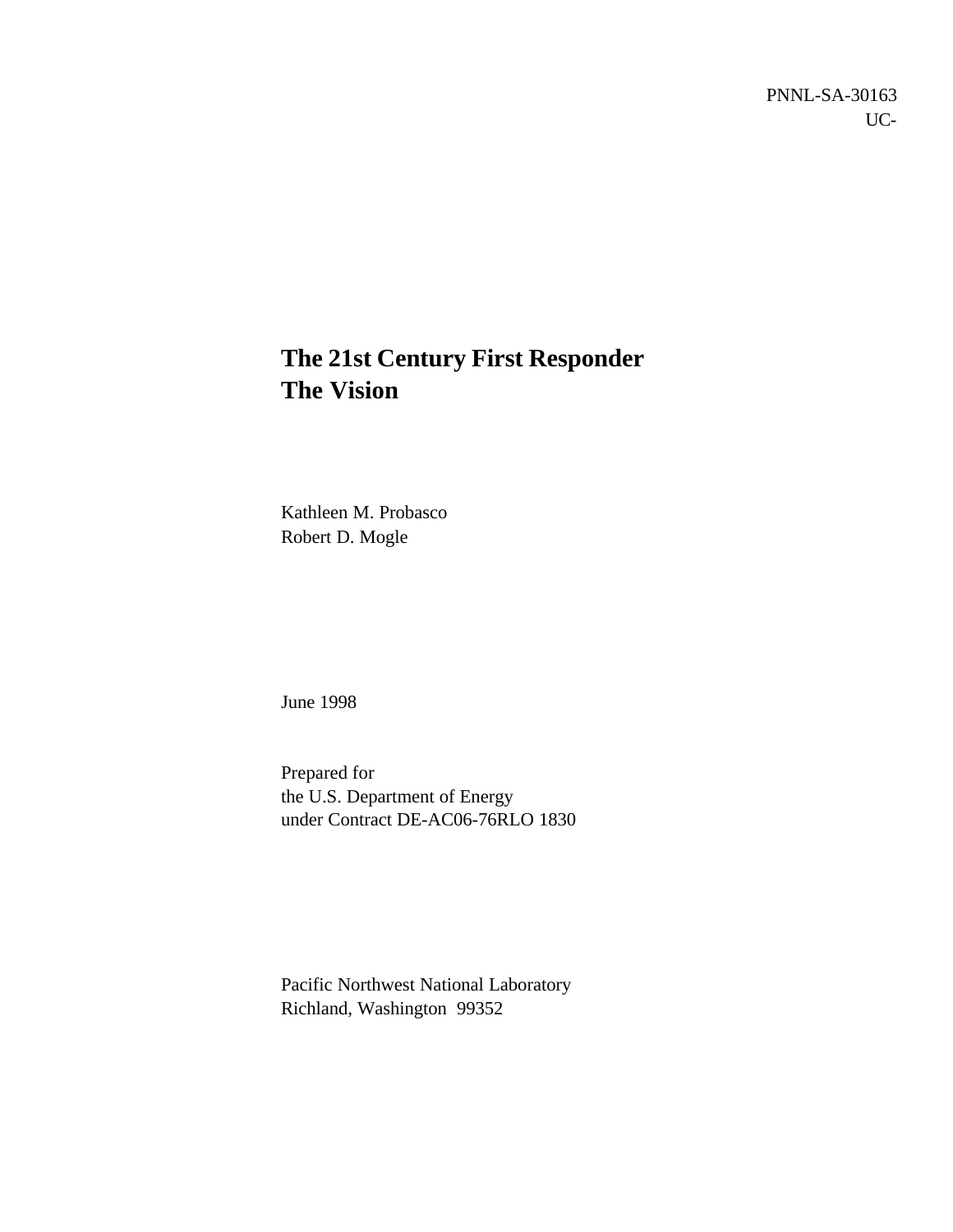PNNL-SA-30163 UC-

# **The 21st Century First Responder The Vision**

Kathleen M. Probasco Robert D. Mogle

June 1998

Prepared for the U.S. Department of Energy under Contract DE-AC06-76RLO 1830

Pacific Northwest National Laboratory Richland, Washington 99352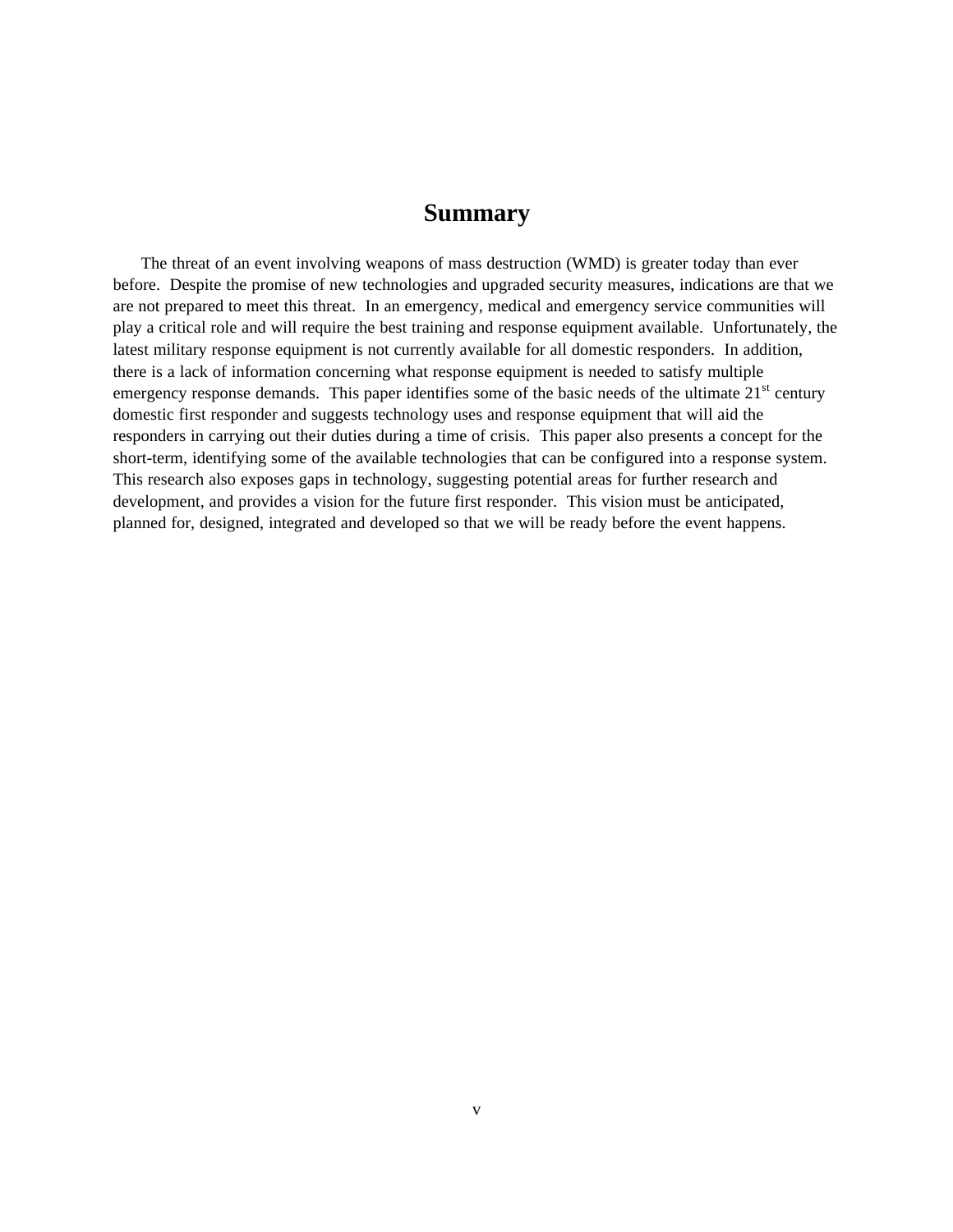### **Summary**

The threat of an event involving weapons of mass destruction (WMD) is greater today than ever before. Despite the promise of new technologies and upgraded security measures, indications are that we are not prepared to meet this threat. In an emergency, medical and emergency service communities will play a critical role and will require the best training and response equipment available. Unfortunately, the latest military response equipment is not currently available for all domestic responders. In addition, there is a lack of information concerning what response equipment is needed to satisfy multiple emergency response demands. This paper identifies some of the basic needs of the ultimate  $21<sup>st</sup>$  century domestic first responder and suggests technology uses and response equipment that will aid the responders in carrying out their duties during a time of crisis. This paper also presents a concept for the short-term, identifying some of the available technologies that can be configured into a response system. This research also exposes gaps in technology, suggesting potential areas for further research and development, and provides a vision for the future first responder. This vision must be anticipated, planned for, designed, integrated and developed so that we will be ready before the event happens.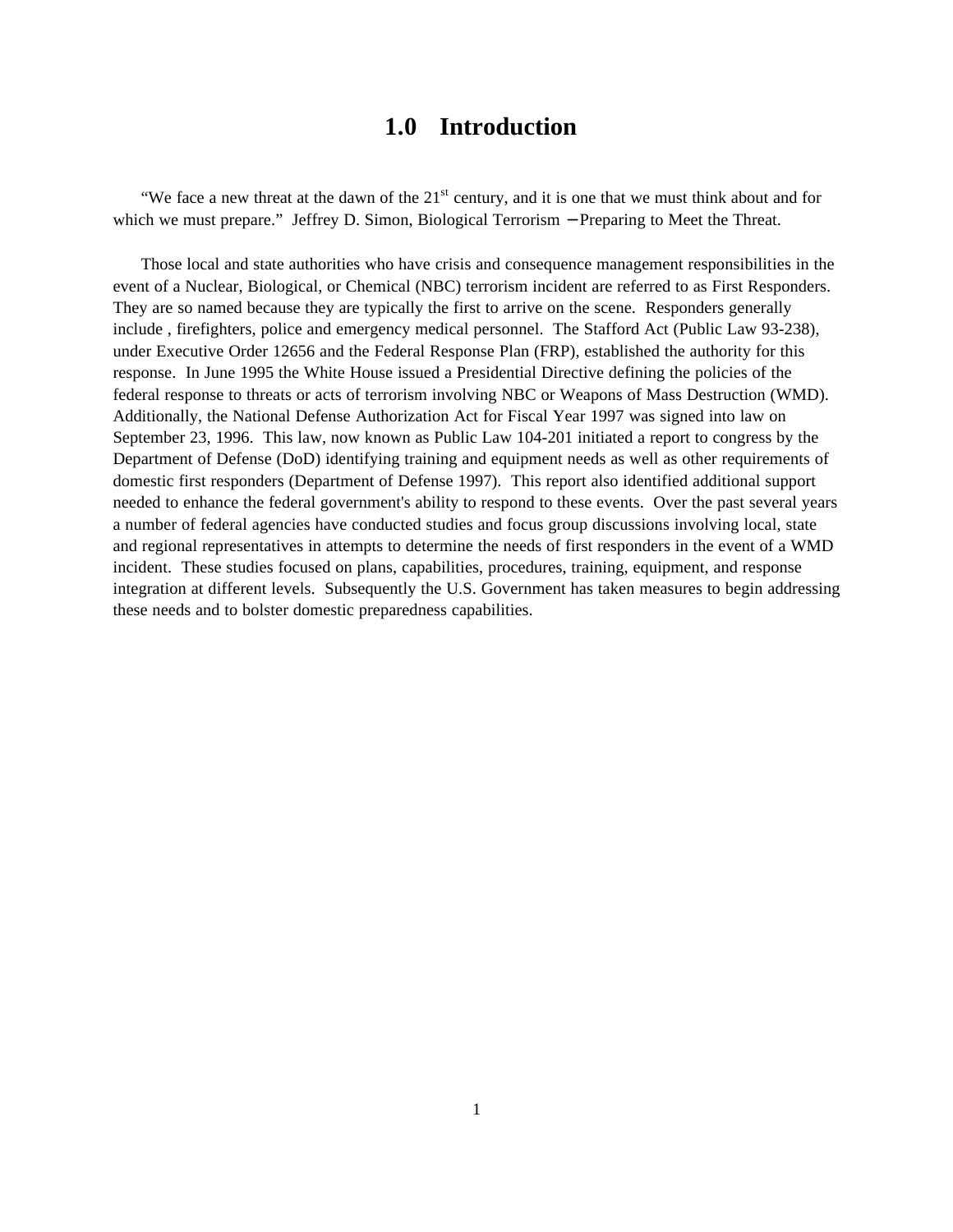## **1.0 Introduction**

"We face a new threat at the dawn of the  $21<sup>st</sup>$  century, and it is one that we must think about and for which we must prepare." Jeffrey D. Simon, Biological Terrorism – Preparing to Meet the Threat.

Those local and state authorities who have crisis and consequence management responsibilities in the event of a Nuclear, Biological, or Chemical (NBC) terrorism incident are referred to as First Responders. They are so named because they are typically the first to arrive on the scene. Responders generally include , firefighters, police and emergency medical personnel. The Stafford Act (Public Law 93-238), under Executive Order 12656 and the Federal Response Plan (FRP), established the authority for this response. In June 1995 the White House issued a Presidential Directive defining the policies of the federal response to threats or acts of terrorism involving NBC or Weapons of Mass Destruction (WMD). Additionally, the National Defense Authorization Act for Fiscal Year 1997 was signed into law on September 23, 1996. This law, now known as Public Law 104-201 initiated a report to congress by the Department of Defense (DoD) identifying training and equipment needs as well as other requirements of domestic first responders (Department of Defense 1997). This report also identified additional support needed to enhance the federal government's ability to respond to these events. Over the past several years a number of federal agencies have conducted studies and focus group discussions involving local, state and regional representatives in attempts to determine the needs of first responders in the event of a WMD incident. These studies focused on plans, capabilities, procedures, training, equipment, and response integration at different levels. Subsequently the U.S. Government has taken measures to begin addressing these needs and to bolster domestic preparedness capabilities.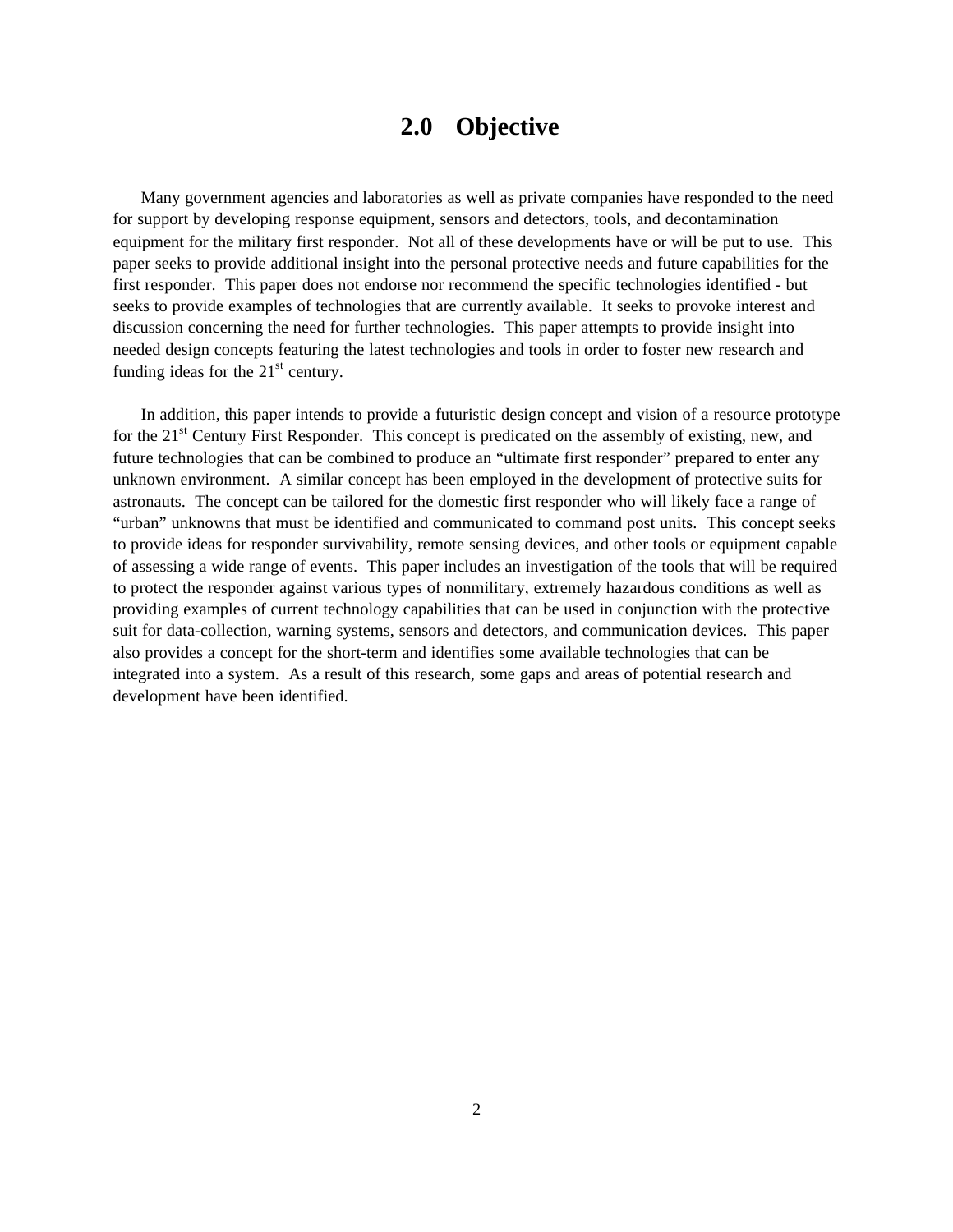## **2.0 Objective**

Many government agencies and laboratories as well as private companies have responded to the need for support by developing response equipment, sensors and detectors, tools, and decontamination equipment for the military first responder. Not all of these developments have or will be put to use. This paper seeks to provide additional insight into the personal protective needs and future capabilities for the first responder. This paper does not endorse nor recommend the specific technologies identified - but seeks to provide examples of technologies that are currently available. It seeks to provoke interest and discussion concerning the need for further technologies. This paper attempts to provide insight into needed design concepts featuring the latest technologies and tools in order to foster new research and funding ideas for the  $21<sup>st</sup>$  century.

In addition, this paper intends to provide a futuristic design concept and vision of a resource prototype for the 21<sup>st</sup> Century First Responder. This concept is predicated on the assembly of existing, new, and future technologies that can be combined to produce an "ultimate first responder" prepared to enter any unknown environment. A similar concept has been employed in the development of protective suits for astronauts. The concept can be tailored for the domestic first responder who will likely face a range of "urban" unknowns that must be identified and communicated to command post units. This concept seeks to provide ideas for responder survivability, remote sensing devices, and other tools or equipment capable of assessing a wide range of events. This paper includes an investigation of the tools that will be required to protect the responder against various types of nonmilitary, extremely hazardous conditions as well as providing examples of current technology capabilities that can be used in conjunction with the protective suit for data-collection, warning systems, sensors and detectors, and communication devices. This paper also provides a concept for the short-term and identifies some available technologies that can be integrated into a system. As a result of this research, some gaps and areas of potential research and development have been identified.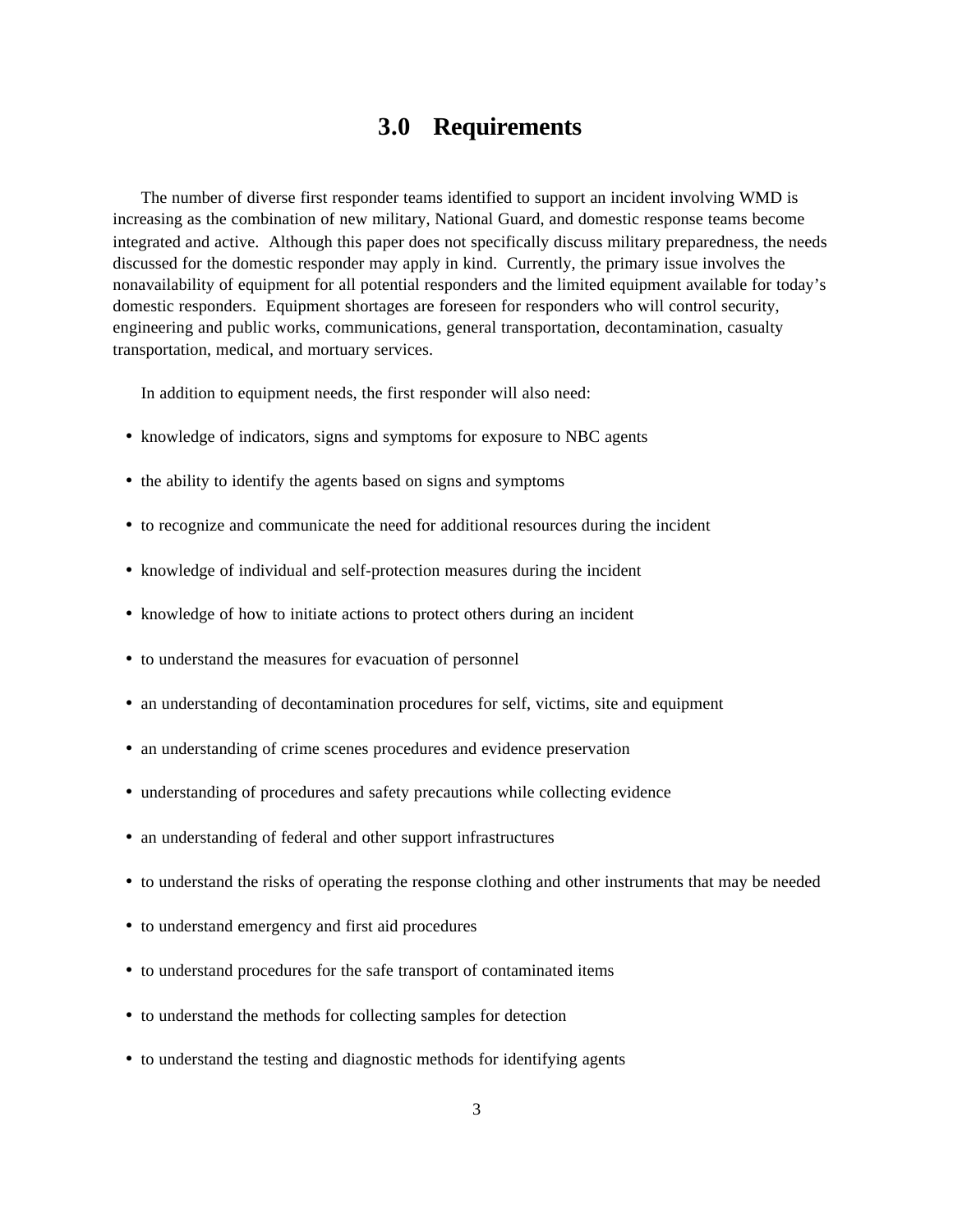## **3.0 Requirements**

The number of diverse first responder teams identified to support an incident involving WMD is increasing as the combination of new military, National Guard, and domestic response teams become integrated and active. Although this paper does not specifically discuss military preparedness, the needs discussed for the domestic responder may apply in kind. Currently, the primary issue involves the nonavailability of equipment for all potential responders and the limited equipment available for today's domestic responders. Equipment shortages are foreseen for responders who will control security, engineering and public works, communications, general transportation, decontamination, casualty transportation, medical, and mortuary services.

In addition to equipment needs, the first responder will also need:

- knowledge of indicators, signs and symptoms for exposure to NBC agents
- the ability to identify the agents based on signs and symptoms
- to recognize and communicate the need for additional resources during the incident
- knowledge of individual and self-protection measures during the incident
- knowledge of how to initiate actions to protect others during an incident
- to understand the measures for evacuation of personnel
- an understanding of decontamination procedures for self, victims, site and equipment
- an understanding of crime scenes procedures and evidence preservation
- understanding of procedures and safety precautions while collecting evidence
- an understanding of federal and other support infrastructures
- to understand the risks of operating the response clothing and other instruments that may be needed
- to understand emergency and first aid procedures
- to understand procedures for the safe transport of contaminated items
- to understand the methods for collecting samples for detection
- to understand the testing and diagnostic methods for identifying agents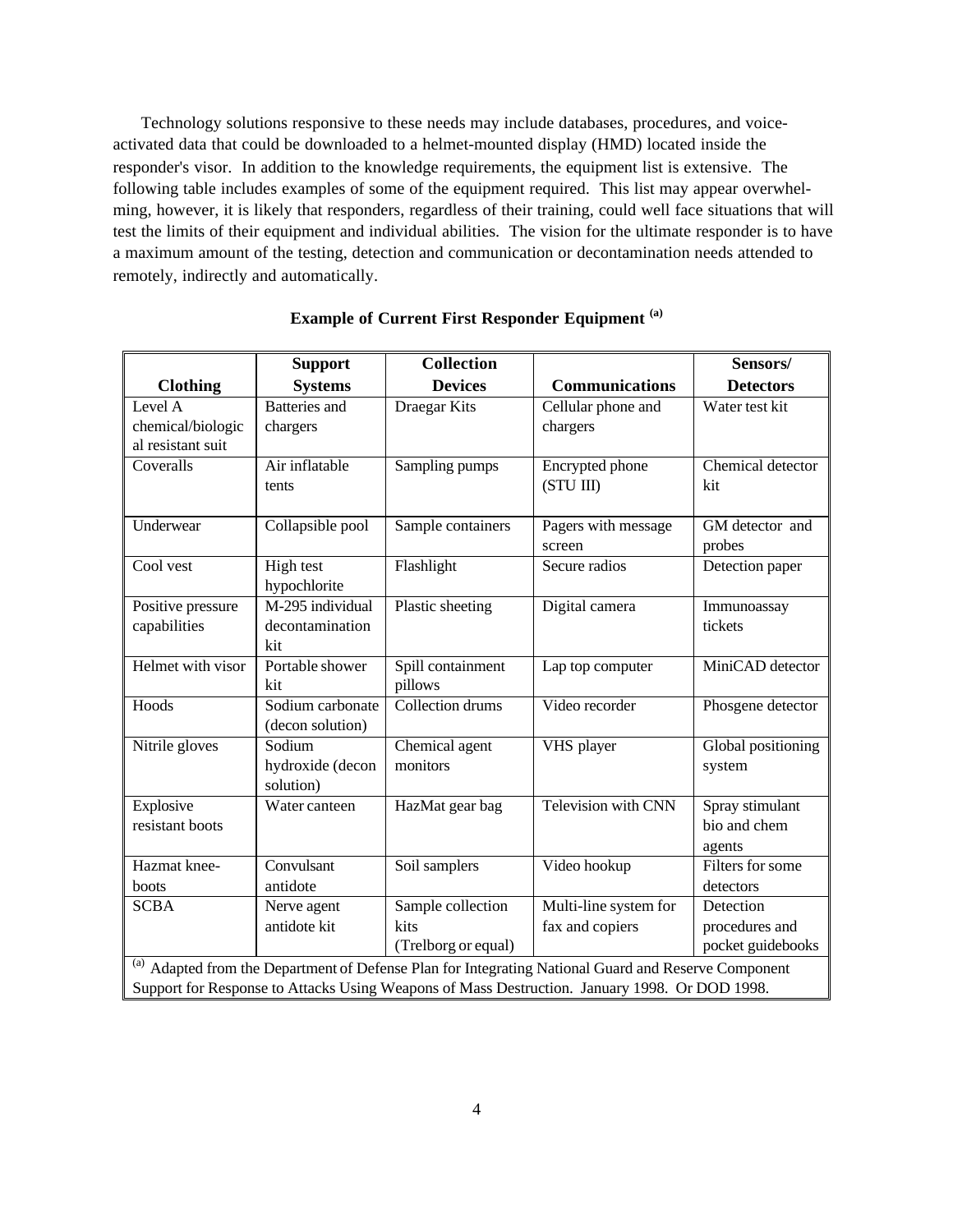Technology solutions responsive to these needs may include databases, procedures, and voiceactivated data that could be downloaded to a helmet-mounted display (HMD) located inside the responder's visor. In addition to the knowledge requirements, the equipment list is extensive. The following table includes examples of some of the equipment required. This list may appear overwhelming, however, it is likely that responders, regardless of their training, could well face situations that will test the limits of their equipment and individual abilities. The vision for the ultimate responder is to have a maximum amount of the testing, detection and communication or decontamination needs attended to remotely, indirectly and automatically.

|                                                                                                      | <b>Support</b>       | <b>Collection</b>   |                       | Sensors/           |  |  |
|------------------------------------------------------------------------------------------------------|----------------------|---------------------|-----------------------|--------------------|--|--|
| <b>Clothing</b>                                                                                      | <b>Systems</b>       | <b>Devices</b>      | <b>Communications</b> | <b>Detectors</b>   |  |  |
| Level A                                                                                              | <b>Batteries</b> and | Draegar Kits        | Cellular phone and    | Water test kit     |  |  |
| chemical/biologic                                                                                    | chargers             |                     | chargers              |                    |  |  |
| al resistant suit                                                                                    |                      |                     |                       |                    |  |  |
| Coveralls                                                                                            | Air inflatable       | Sampling pumps      | Encrypted phone       | Chemical detector  |  |  |
|                                                                                                      | tents                |                     | (STU III)             | kit                |  |  |
| Underwear                                                                                            | Collapsible pool     | Sample containers   | Pagers with message   | GM detector and    |  |  |
|                                                                                                      |                      |                     | screen                | probes             |  |  |
| Cool vest                                                                                            | High test            | Flashlight          | Secure radios         | Detection paper    |  |  |
|                                                                                                      | hypochlorite         |                     |                       |                    |  |  |
| Positive pressure                                                                                    | M-295 individual     | Plastic sheeting    | Digital camera        | Immunoassay        |  |  |
| capabilities                                                                                         | decontamination      |                     |                       | tickets            |  |  |
|                                                                                                      | kit                  |                     |                       |                    |  |  |
| Helmet with visor                                                                                    | Portable shower      | Spill containment   | Lap top computer      | MiniCAD detector   |  |  |
|                                                                                                      | kit                  | pillows             |                       |                    |  |  |
| Hoods                                                                                                | Sodium carbonate     | Collection drums    | Video recorder        | Phosgene detector  |  |  |
|                                                                                                      | (decon solution)     |                     |                       |                    |  |  |
| Nitrile gloves                                                                                       | Sodium               | Chemical agent      | VHS player            | Global positioning |  |  |
|                                                                                                      | hydroxide (decon     | monitors            |                       | system             |  |  |
|                                                                                                      | solution)            |                     |                       |                    |  |  |
| Explosive                                                                                            | Water canteen        | HazMat gear bag     | Television with CNN   | Spray stimulant    |  |  |
| resistant boots                                                                                      |                      |                     |                       | bio and chem       |  |  |
|                                                                                                      |                      |                     |                       | agents             |  |  |
| Hazmat knee-                                                                                         | Convulsant           | Soil samplers       | Video hookup          | Filters for some   |  |  |
| boots                                                                                                | antidote             |                     |                       | detectors          |  |  |
| <b>SCBA</b>                                                                                          | Nerve agent          | Sample collection   | Multi-line system for | Detection          |  |  |
|                                                                                                      | antidote kit         | kits                | fax and copiers       | procedures and     |  |  |
|                                                                                                      |                      | (Trelborg or equal) |                       | pocket guidebooks  |  |  |
| (a) Adapted from the Department of Defense Plan for Integrating National Guard and Reserve Component |                      |                     |                       |                    |  |  |
| Support for Response to Attacks Using Weapons of Mass Destruction. January 1998. Or DOD 1998.        |                      |                     |                       |                    |  |  |

#### **Example of Current First Responder Equipment (a)**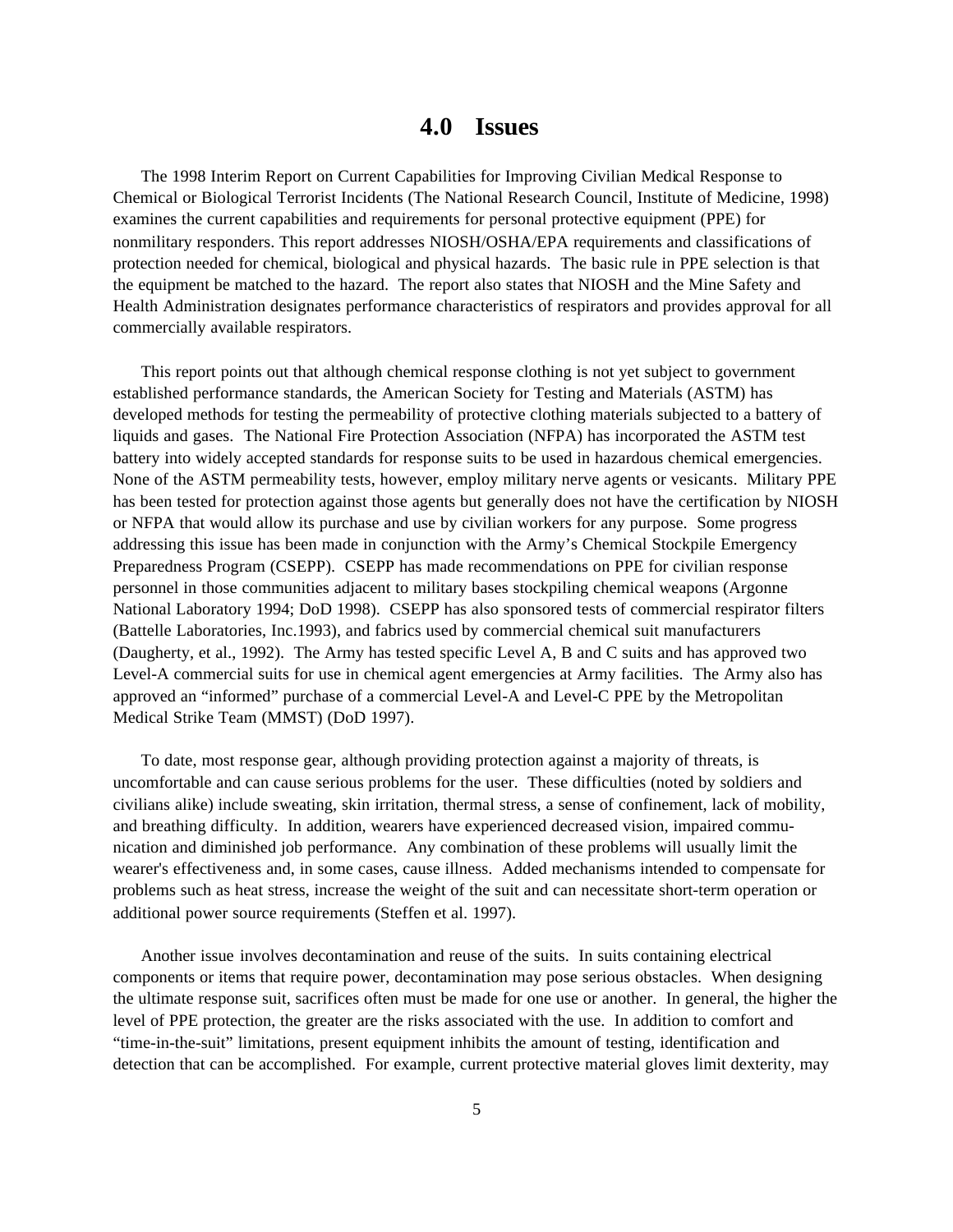### **4.0 Issues**

The 1998 Interim Report on Current Capabilities for Improving Civilian Medical Response to Chemical or Biological Terrorist Incidents (The National Research Council, Institute of Medicine, 1998) examines the current capabilities and requirements for personal protective equipment (PPE) for nonmilitary responders. This report addresses NIOSH/OSHA/EPA requirements and classifications of protection needed for chemical, biological and physical hazards. The basic rule in PPE selection is that the equipment be matched to the hazard. The report also states that NIOSH and the Mine Safety and Health Administration designates performance characteristics of respirators and provides approval for all commercially available respirators.

This report points out that although chemical response clothing is not yet subject to government established performance standards, the American Society for Testing and Materials (ASTM) has developed methods for testing the permeability of protective clothing materials subjected to a battery of liquids and gases. The National Fire Protection Association (NFPA) has incorporated the ASTM test battery into widely accepted standards for response suits to be used in hazardous chemical emergencies. None of the ASTM permeability tests, however, employ military nerve agents or vesicants. Military PPE has been tested for protection against those agents but generally does not have the certification by NIOSH or NFPA that would allow its purchase and use by civilian workers for any purpose. Some progress addressing this issue has been made in conjunction with the Army's Chemical Stockpile Emergency Preparedness Program (CSEPP). CSEPP has made recommendations on PPE for civilian response personnel in those communities adjacent to military bases stockpiling chemical weapons (Argonne National Laboratory 1994; DoD 1998). CSEPP has also sponsored tests of commercial respirator filters (Battelle Laboratories, Inc.1993), and fabrics used by commercial chemical suit manufacturers (Daugherty, et al., 1992). The Army has tested specific Level A, B and C suits and has approved two Level-A commercial suits for use in chemical agent emergencies at Army facilities. The Army also has approved an "informed" purchase of a commercial Level-A and Level-C PPE by the Metropolitan Medical Strike Team (MMST) (DoD 1997).

To date, most response gear, although providing protection against a majority of threats, is uncomfortable and can cause serious problems for the user. These difficulties (noted by soldiers and civilians alike) include sweating, skin irritation, thermal stress, a sense of confinement, lack of mobility, and breathing difficulty. In addition, wearers have experienced decreased vision, impaired communication and diminished job performance. Any combination of these problems will usually limit the wearer's effectiveness and, in some cases, cause illness. Added mechanisms intended to compensate for problems such as heat stress, increase the weight of the suit and can necessitate short-term operation or additional power source requirements (Steffen et al. 1997).

Another issue involves decontamination and reuse of the suits. In suits containing electrical components or items that require power, decontamination may pose serious obstacles. When designing the ultimate response suit, sacrifices often must be made for one use or another. In general, the higher the level of PPE protection, the greater are the risks associated with the use. In addition to comfort and "time-in-the-suit" limitations, present equipment inhibits the amount of testing, identification and detection that can be accomplished. For example, current protective material gloves limit dexterity, may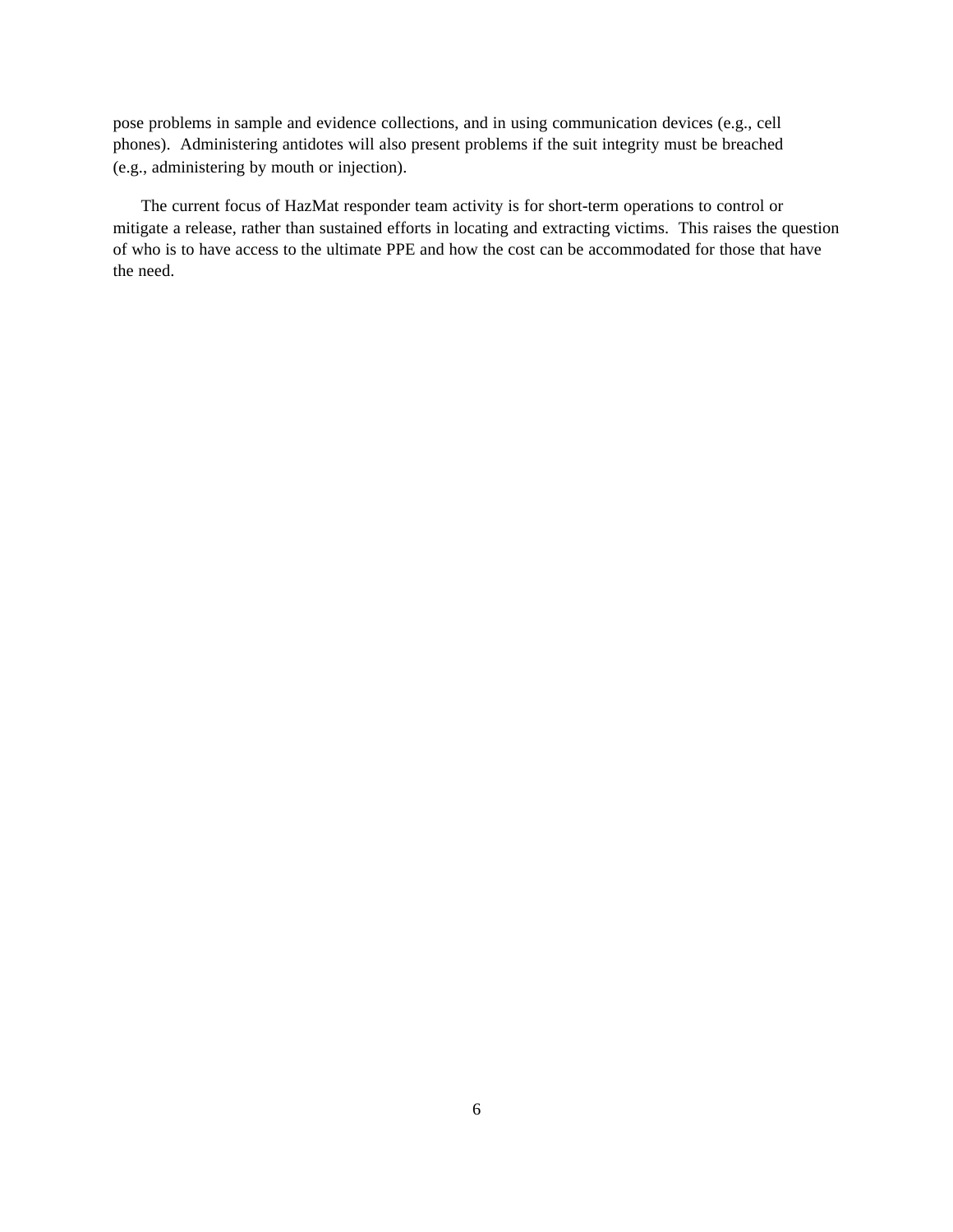pose problems in sample and evidence collections, and in using communication devices (e.g., cell phones). Administering antidotes will also present problems if the suit integrity must be breached (e.g., administering by mouth or injection).

The current focus of HazMat responder team activity is for short-term operations to control or mitigate a release, rather than sustained efforts in locating and extracting victims. This raises the question of who is to have access to the ultimate PPE and how the cost can be accommodated for those that have the need.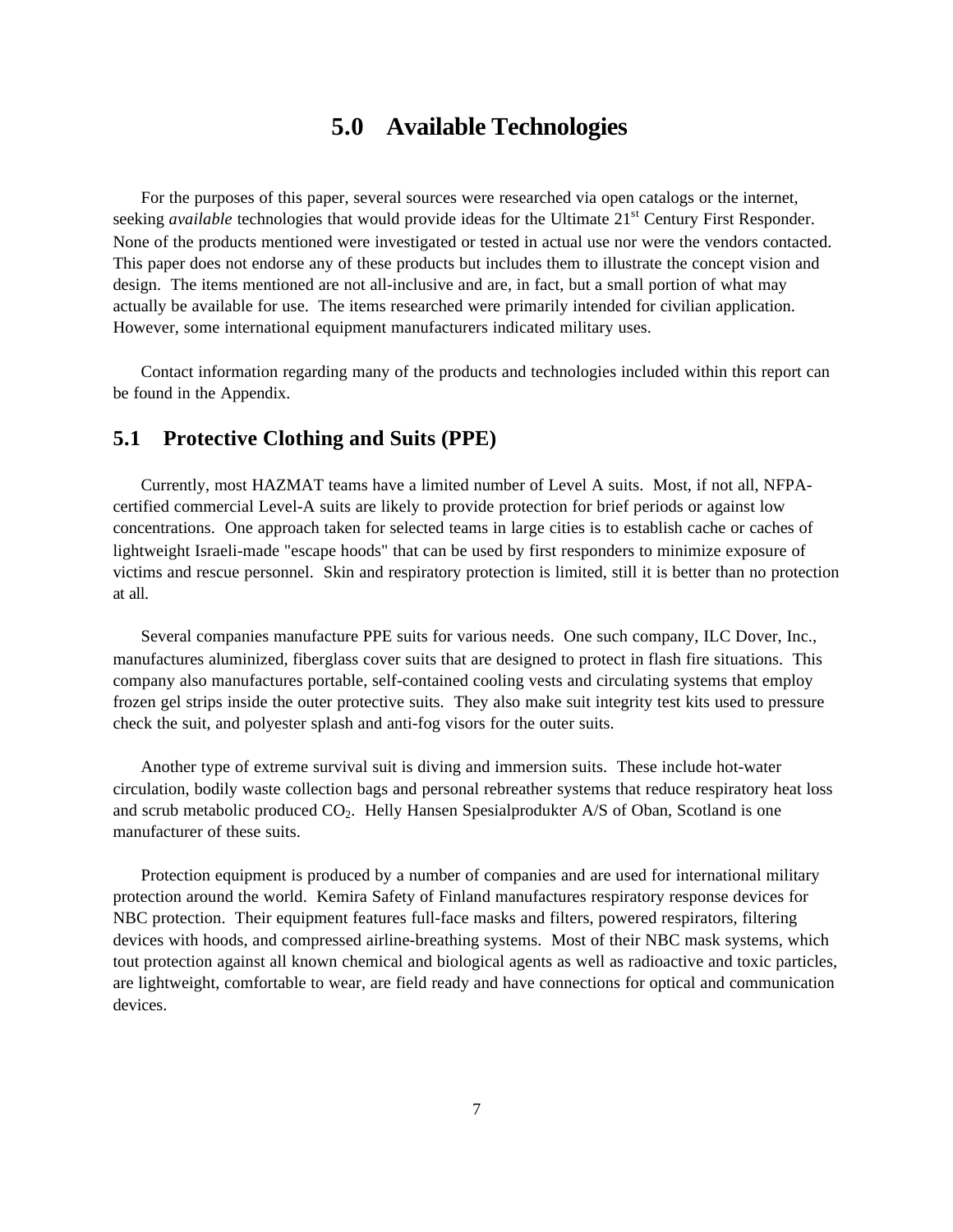## **5.0 Available Technologies**

For the purposes of this paper, several sources were researched via open catalogs or the internet, seeking *available* technologies that would provide ideas for the Ultimate 21<sup>st</sup> Century First Responder. None of the products mentioned were investigated or tested in actual use nor were the vendors contacted. This paper does not endorse any of these products but includes them to illustrate the concept vision and design. The items mentioned are not all-inclusive and are, in fact, but a small portion of what may actually be available for use. The items researched were primarily intended for civilian application. However, some international equipment manufacturers indicated military uses.

Contact information regarding many of the products and technologies included within this report can be found in the Appendix.

#### **5.1 Protective Clothing and Suits (PPE)**

Currently, most HAZMAT teams have a limited number of Level A suits. Most, if not all, NFPAcertified commercial Level-A suits are likely to provide protection for brief periods or against low concentrations. One approach taken for selected teams in large cities is to establish cache or caches of lightweight Israeli-made "escape hoods" that can be used by first responders to minimize exposure of victims and rescue personnel. Skin and respiratory protection is limited, still it is better than no protection at all.

Several companies manufacture PPE suits for various needs. One such company, ILC Dover, Inc., manufactures aluminized, fiberglass cover suits that are designed to protect in flash fire situations. This company also manufactures portable, self-contained cooling vests and circulating systems that employ frozen gel strips inside the outer protective suits. They also make suit integrity test kits used to pressure check the suit, and polyester splash and anti-fog visors for the outer suits.

Another type of extreme survival suit is diving and immersion suits. These include hot-water circulation, bodily waste collection bags and personal rebreather systems that reduce respiratory heat loss and scrub metabolic produced  $CO<sub>2</sub>$ . Helly Hansen Spesialprodukter A/S of Oban, Scotland is one manufacturer of these suits.

Protection equipment is produced by a number of companies and are used for international military protection around the world. Kemira Safety of Finland manufactures respiratory response devices for NBC protection. Their equipment features full-face masks and filters, powered respirators, filtering devices with hoods, and compressed airline-breathing systems. Most of their NBC mask systems, which tout protection against all known chemical and biological agents as well as radioactive and toxic particles, are lightweight, comfortable to wear, are field ready and have connections for optical and communication devices.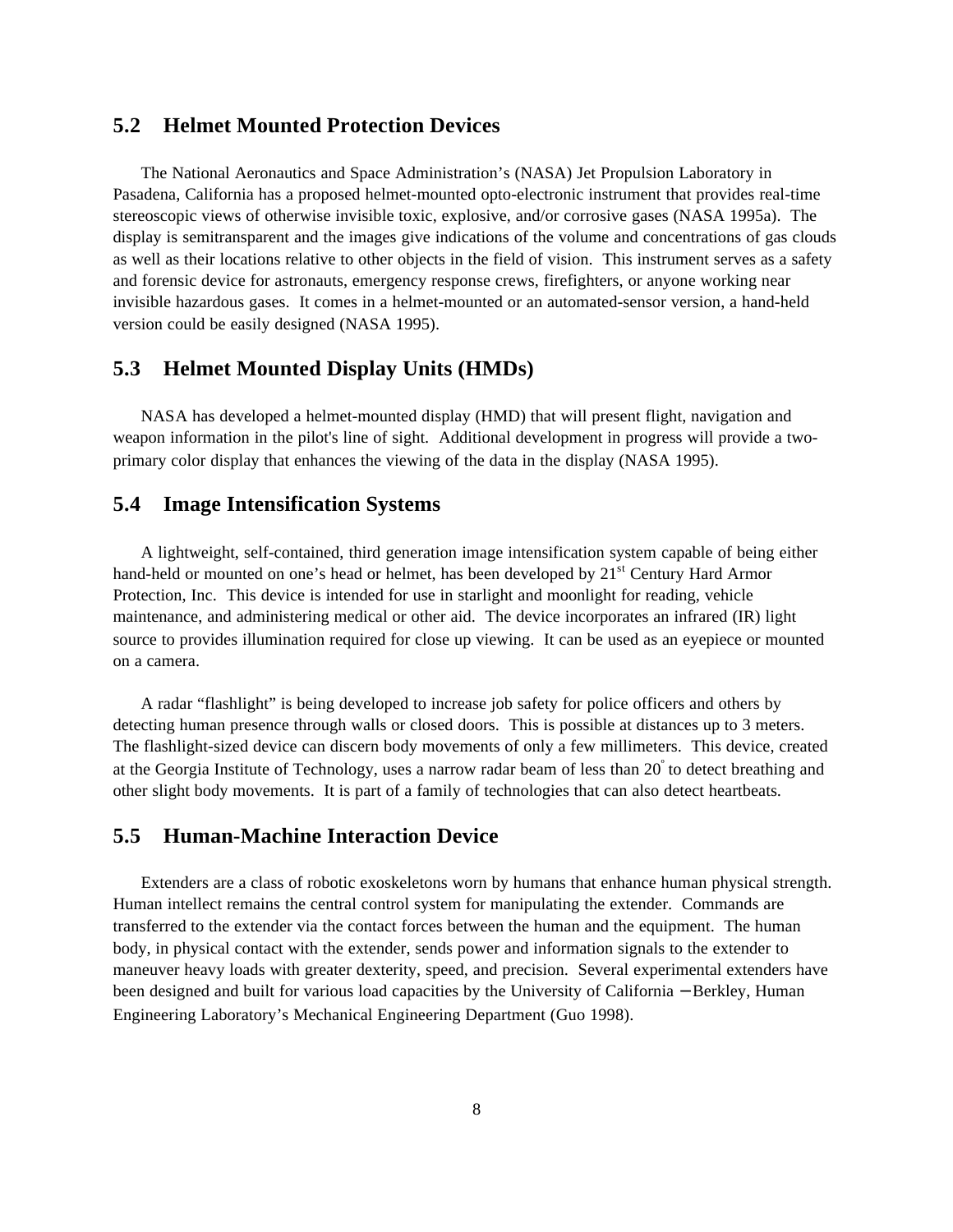### **5.2 Helmet Mounted Protection Devices**

The National Aeronautics and Space Administration's (NASA) Jet Propulsion Laboratory in Pasadena, California has a proposed helmet-mounted opto-electronic instrument that provides real-time stereoscopic views of otherwise invisible toxic, explosive, and/or corrosive gases (NASA 1995a). The display is semitransparent and the images give indications of the volume and concentrations of gas clouds as well as their locations relative to other objects in the field of vision. This instrument serves as a safety and forensic device for astronauts, emergency response crews, firefighters, or anyone working near invisible hazardous gases. It comes in a helmet-mounted or an automated-sensor version, a hand-held version could be easily designed (NASA 1995).

### **5.3 Helmet Mounted Display Units (HMDs)**

NASA has developed a helmet-mounted display (HMD) that will present flight, navigation and weapon information in the pilot's line of sight. Additional development in progress will provide a twoprimary color display that enhances the viewing of the data in the display (NASA 1995).

### **5.4 Image Intensification Systems**

A lightweight, self-contained, third generation image intensification system capable of being either hand-held or mounted on one's head or helmet, has been developed by 21<sup>st</sup> Century Hard Armor Protection, Inc. This device is intended for use in starlight and moonlight for reading, vehicle maintenance, and administering medical or other aid. The device incorporates an infrared (IR) light source to provides illumination required for close up viewing. It can be used as an eyepiece or mounted on a camera.

A radar "flashlight" is being developed to increase job safety for police officers and others by detecting human presence through walls or closed doors. This is possible at distances up to 3 meters. The flashlight-sized device can discern body movements of only a few millimeters. This device, created at the Georgia Institute of Technology, uses a narrow radar beam of less than 20° to detect breathing and other slight body movements. It is part of a family of technologies that can also detect heartbeats.

#### **5.5 Human-Machine Interaction Device**

Extenders are a class of robotic exoskeletons worn by humans that enhance human physical strength. Human intellect remains the central control system for manipulating the extender. Commands are transferred to the extender via the contact forces between the human and the equipment. The human body, in physical contact with the extender, sends power and information signals to the extender to maneuver heavy loads with greater dexterity, speed, and precision. Several experimental extenders have been designed and built for various load capacities by the University of California − Berkley, Human Engineering Laboratory's Mechanical Engineering Department (Guo 1998).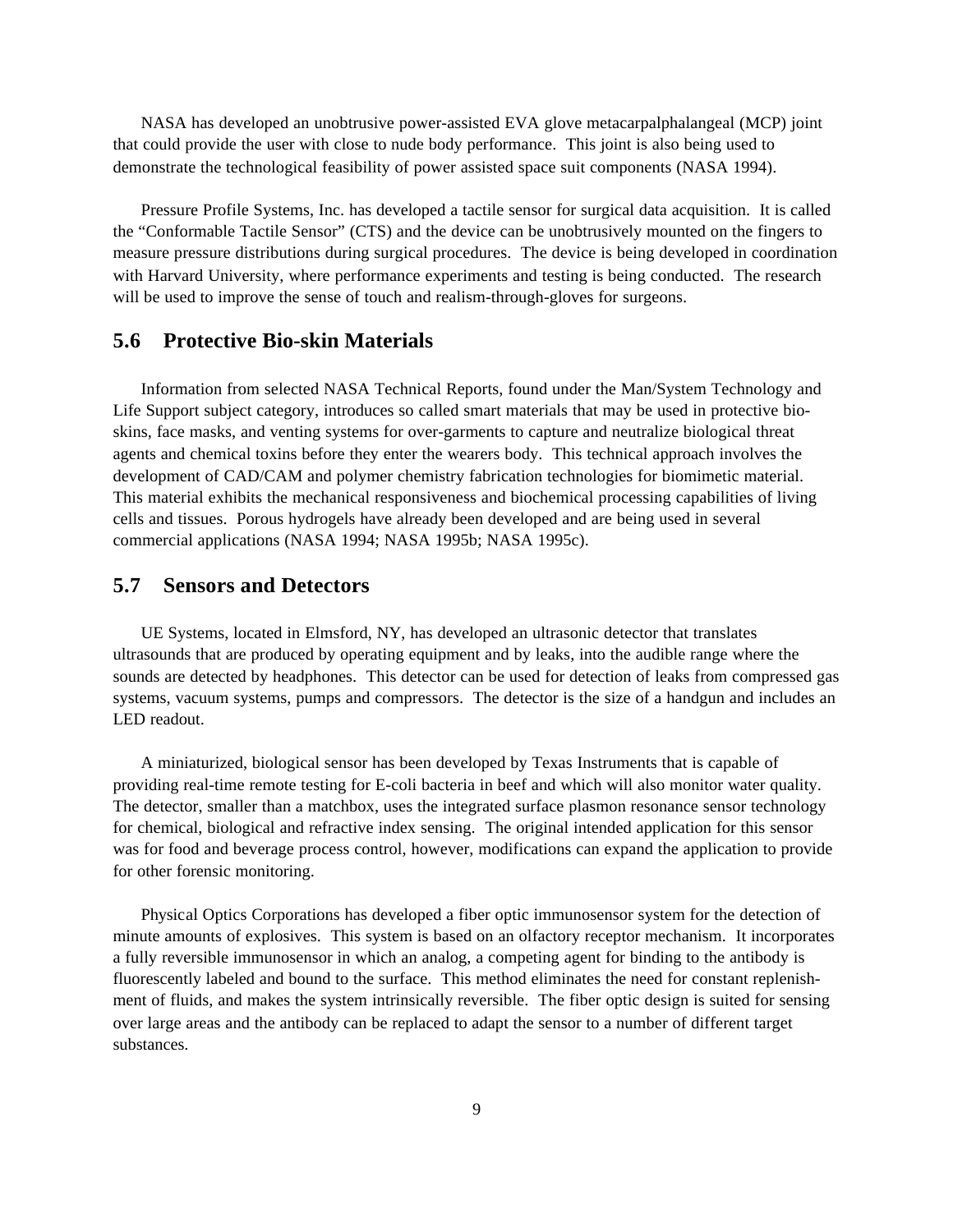NASA has developed an unobtrusive power-assisted EVA glove metacarpalphalangeal (MCP) joint that could provide the user with close to nude body performance. This joint is also being used to demonstrate the technological feasibility of power assisted space suit components (NASA 1994).

Pressure Profile Systems, Inc. has developed a tactile sensor for surgical data acquisition. It is called the "Conformable Tactile Sensor" (CTS) and the device can be unobtrusively mounted on the fingers to measure pressure distributions during surgical procedures. The device is being developed in coordination with Harvard University, where performance experiments and testing is being conducted. The research will be used to improve the sense of touch and realism-through-gloves for surgeons.

### **5.6 Protective Bio-skin Materials**

Information from selected NASA Technical Reports, found under the Man/System Technology and Life Support subject category, introduces so called smart materials that may be used in protective bioskins, face masks, and venting systems for over-garments to capture and neutralize biological threat agents and chemical toxins before they enter the wearers body. This technical approach involves the development of CAD/CAM and polymer chemistry fabrication technologies for biomimetic material. This material exhibits the mechanical responsiveness and biochemical processing capabilities of living cells and tissues. Porous hydrogels have already been developed and are being used in several commercial applications (NASA 1994; NASA 1995b; NASA 1995c).

#### **5.7 Sensors and Detectors**

UE Systems, located in Elmsford, NY, has developed an ultrasonic detector that translates ultrasounds that are produced by operating equipment and by leaks, into the audible range where the sounds are detected by headphones. This detector can be used for detection of leaks from compressed gas systems, vacuum systems, pumps and compressors. The detector is the size of a handgun and includes an LED readout.

A miniaturized, biological sensor has been developed by Texas Instruments that is capable of providing real-time remote testing for E-coli bacteria in beef and which will also monitor water quality. The detector, smaller than a matchbox, uses the integrated surface plasmon resonance sensor technology for chemical, biological and refractive index sensing. The original intended application for this sensor was for food and beverage process control, however, modifications can expand the application to provide for other forensic monitoring.

Physical Optics Corporations has developed a fiber optic immunosensor system for the detection of minute amounts of explosives. This system is based on an olfactory receptor mechanism. It incorporates a fully reversible immunosensor in which an analog, a competing agent for binding to the antibody is fluorescently labeled and bound to the surface. This method eliminates the need for constant replenishment of fluids, and makes the system intrinsically reversible. The fiber optic design is suited for sensing over large areas and the antibody can be replaced to adapt the sensor to a number of different target substances.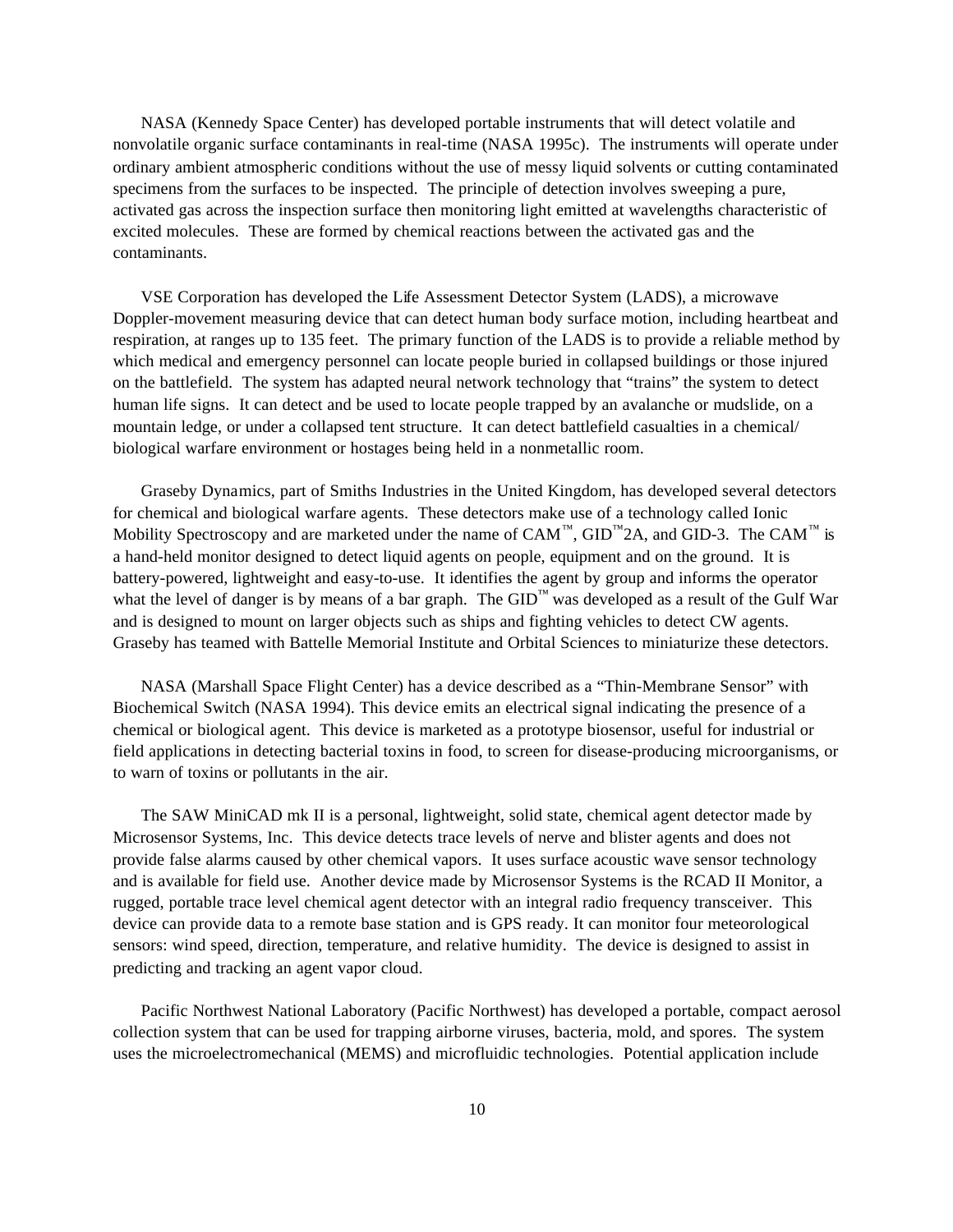NASA (Kennedy Space Center) has developed portable instruments that will detect volatile and nonvolatile organic surface contaminants in real-time (NASA 1995c). The instruments will operate under ordinary ambient atmospheric conditions without the use of messy liquid solvents or cutting contaminated specimens from the surfaces to be inspected. The principle of detection involves sweeping a pure, activated gas across the inspection surface then monitoring light emitted at wavelengths characteristic of excited molecules. These are formed by chemical reactions between the activated gas and the contaminants.

VSE Corporation has developed the Life Assessment Detector System (LADS), a microwave Doppler-movement measuring device that can detect human body surface motion, including heartbeat and respiration, at ranges up to 135 feet. The primary function of the LADS is to provide a reliable method by which medical and emergency personnel can locate people buried in collapsed buildings or those injured on the battlefield. The system has adapted neural network technology that "trains" the system to detect human life signs. It can detect and be used to locate people trapped by an avalanche or mudslide, on a mountain ledge, or under a collapsed tent structure. It can detect battlefield casualties in a chemical/ biological warfare environment or hostages being held in a nonmetallic room.

Graseby Dynamics, part of Smiths Industries in the United Kingdom, has developed several detectors for chemical and biological warfare agents. These detectors make use of a technology called Ionic Mobility Spectroscopy and are marketed under the name of  $CAM^M$ ,  $GID^M2A$ , and  $GID-3$ . The CAM<sup>™</sup> is a hand-held monitor designed to detect liquid agents on people, equipment and on the ground. It is battery-powered, lightweight and easy-to-use. It identifies the agent by group and informs the operator what the level of danger is by means of a bar graph. The  $GID<sup>™</sup>$  was developed as a result of the Gulf War and is designed to mount on larger objects such as ships and fighting vehicles to detect CW agents. Graseby has teamed with Battelle Memorial Institute and Orbital Sciences to miniaturize these detectors.

NASA (Marshall Space Flight Center) has a device described as a "Thin-Membrane Sensor" with Biochemical Switch (NASA 1994). This device emits an electrical signal indicating the presence of a chemical or biological agent. This device is marketed as a prototype biosensor, useful for industrial or field applications in detecting bacterial toxins in food, to screen for disease-producing microorganisms, or to warn of toxins or pollutants in the air.

The SAW MiniCAD mk II is a personal, lightweight, solid state, chemical agent detector made by Microsensor Systems, Inc. This device detects trace levels of nerve and blister agents and does not provide false alarms caused by other chemical vapors. It uses surface acoustic wave sensor technology and is available for field use. Another device made by Microsensor Systems is the RCAD II Monitor, a rugged, portable trace level chemical agent detector with an integral radio frequency transceiver. This device can provide data to a remote base station and is GPS ready. It can monitor four meteorological sensors: wind speed, direction, temperature, and relative humidity. The device is designed to assist in predicting and tracking an agent vapor cloud.

Pacific Northwest National Laboratory (Pacific Northwest) has developed a portable, compact aerosol collection system that can be used for trapping airborne viruses, bacteria, mold, and spores. The system uses the microelectromechanical (MEMS) and microfluidic technologies. Potential application include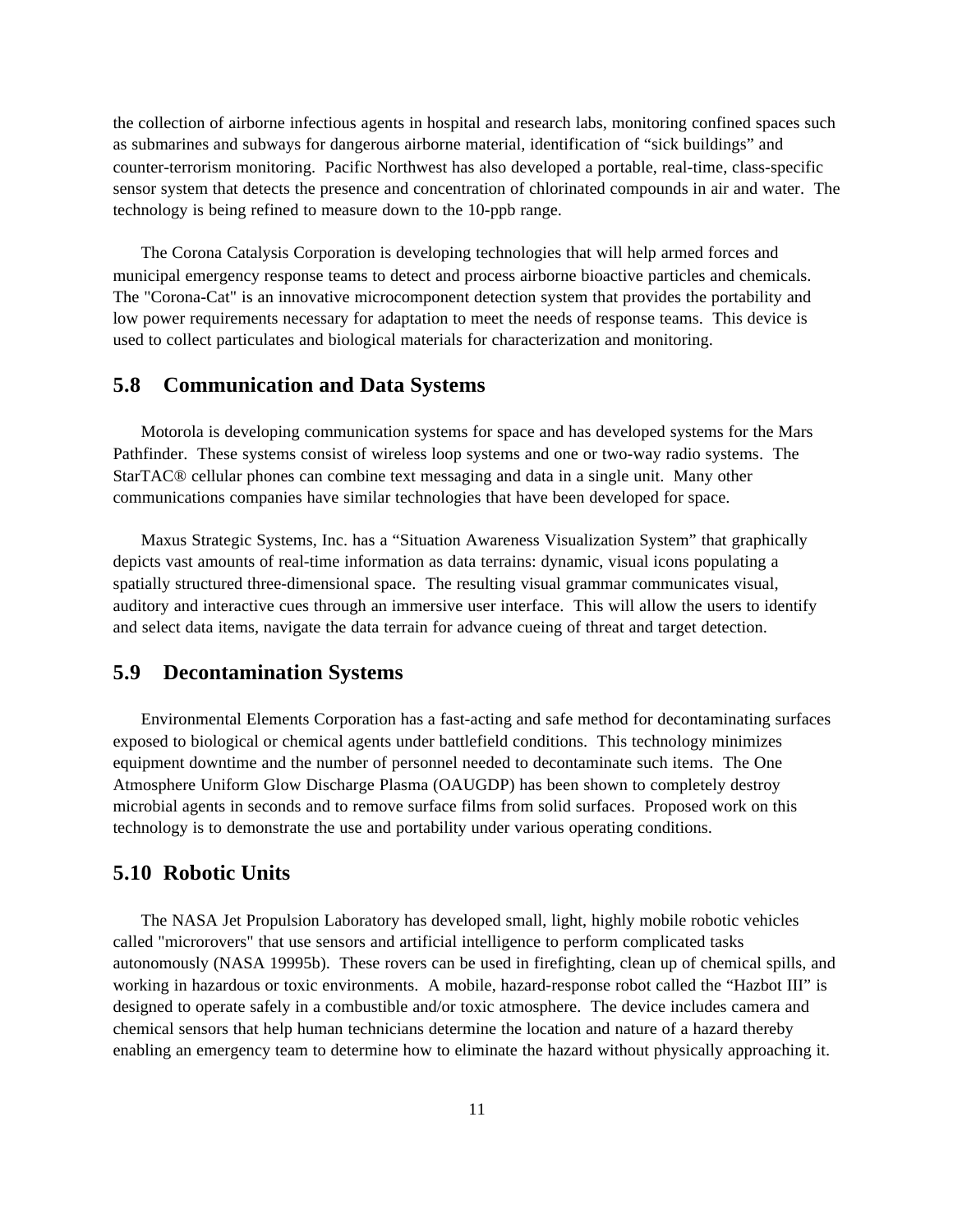the collection of airborne infectious agents in hospital and research labs, monitoring confined spaces such as submarines and subways for dangerous airborne material, identification of "sick buildings" and counter-terrorism monitoring. Pacific Northwest has also developed a portable, real-time, class-specific sensor system that detects the presence and concentration of chlorinated compounds in air and water. The technology is being refined to measure down to the 10-ppb range.

The Corona Catalysis Corporation is developing technologies that will help armed forces and municipal emergency response teams to detect and process airborne bioactive particles and chemicals. The "Corona-Cat" is an innovative microcomponent detection system that provides the portability and low power requirements necessary for adaptation to meet the needs of response teams. This device is used to collect particulates and biological materials for characterization and monitoring.

### **5.8 Communication and Data Systems**

Motorola is developing communication systems for space and has developed systems for the Mars Pathfinder. These systems consist of wireless loop systems and one or two-way radio systems. The StarTAC® cellular phones can combine text messaging and data in a single unit. Many other communications companies have similar technologies that have been developed for space.

Maxus Strategic Systems, Inc. has a "Situation Awareness Visualization System" that graphically depicts vast amounts of real-time information as data terrains: dynamic, visual icons populating a spatially structured three-dimensional space. The resulting visual grammar communicates visual, auditory and interactive cues through an immersive user interface. This will allow the users to identify and select data items, navigate the data terrain for advance cueing of threat and target detection.

### **5.9 Decontamination Systems**

Environmental Elements Corporation has a fast-acting and safe method for decontaminating surfaces exposed to biological or chemical agents under battlefield conditions. This technology minimizes equipment downtime and the number of personnel needed to decontaminate such items. The One Atmosphere Uniform Glow Discharge Plasma (OAUGDP) has been shown to completely destroy microbial agents in seconds and to remove surface films from solid surfaces. Proposed work on this technology is to demonstrate the use and portability under various operating conditions.

### **5.10 Robotic Units**

The NASA Jet Propulsion Laboratory has developed small, light, highly mobile robotic vehicles called "microrovers" that use sensors and artificial intelligence to perform complicated tasks autonomously (NASA 19995b). These rovers can be used in firefighting, clean up of chemical spills, and working in hazardous or toxic environments. A mobile, hazard-response robot called the "Hazbot III" is designed to operate safely in a combustible and/or toxic atmosphere. The device includes camera and chemical sensors that help human technicians determine the location and nature of a hazard thereby enabling an emergency team to determine how to eliminate the hazard without physically approaching it.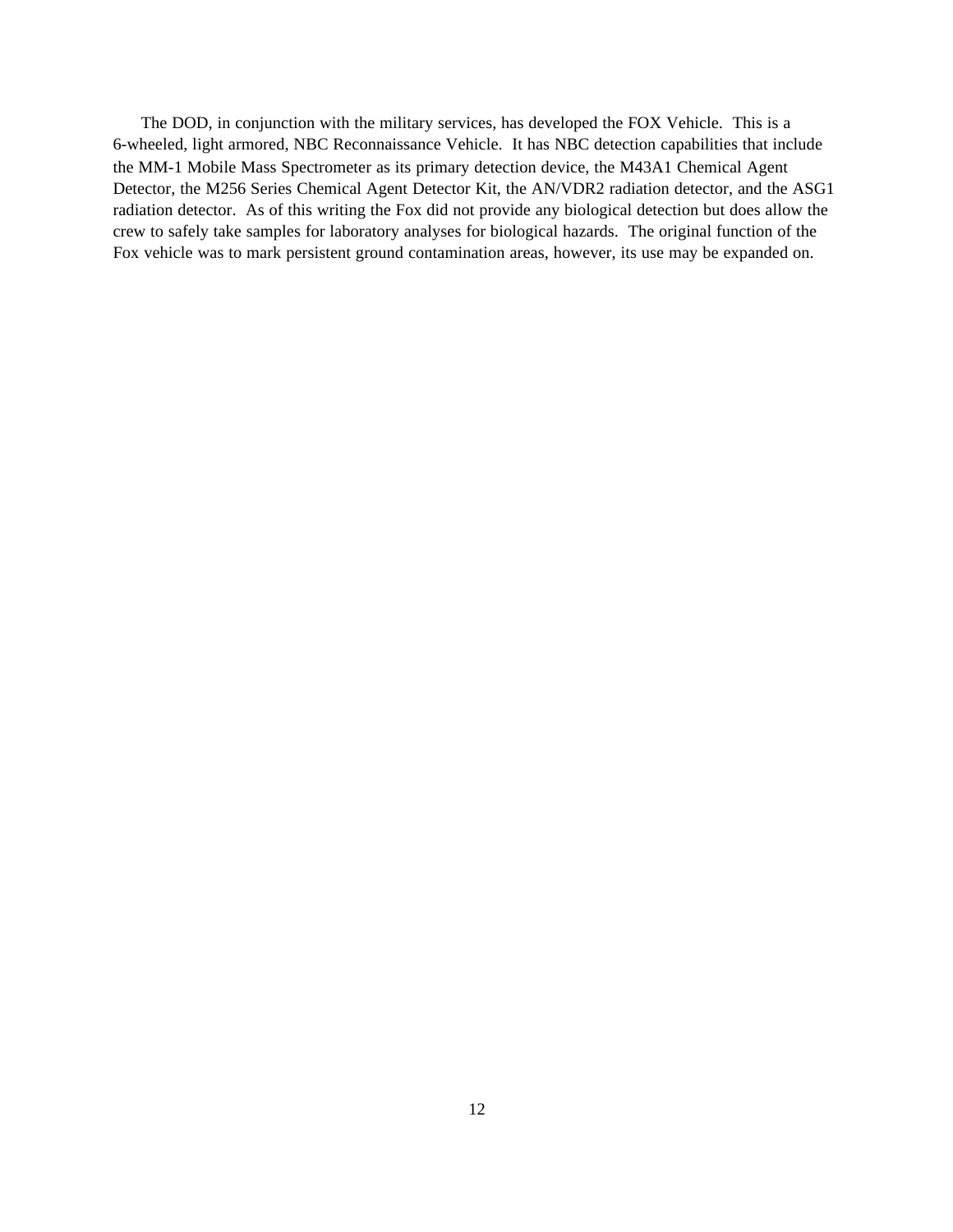The DOD, in conjunction with the military services, has developed the FOX Vehicle. This is a 6-wheeled, light armored, NBC Reconnaissance Vehicle. It has NBC detection capabilities that include the MM-1 Mobile Mass Spectrometer as its primary detection device, the M43A1 Chemical Agent Detector, the M256 Series Chemical Agent Detector Kit, the AN/VDR2 radiation detector, and the ASG1 radiation detector. As of this writing the Fox did not provide any biological detection but does allow the crew to safely take samples for laboratory analyses for biological hazards. The original function of the Fox vehicle was to mark persistent ground contamination areas, however, its use may be expanded on.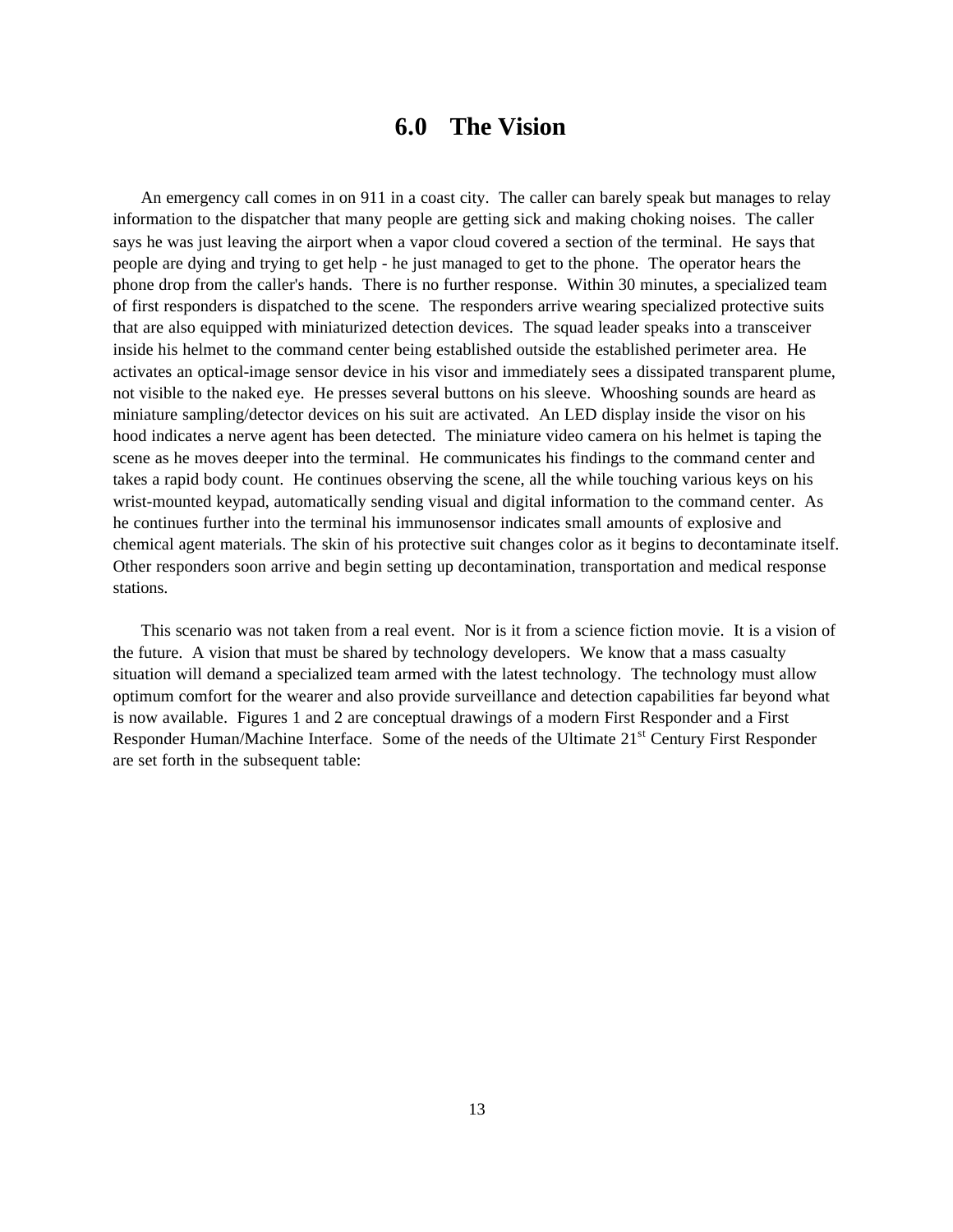## **6.0 The Vision**

An emergency call comes in on 911 in a coast city. The caller can barely speak but manages to relay information to the dispatcher that many people are getting sick and making choking noises. The caller says he was just leaving the airport when a vapor cloud covered a section of the terminal. He says that people are dying and trying to get help - he just managed to get to the phone. The operator hears the phone drop from the caller's hands. There is no further response. Within 30 minutes, a specialized team of first responders is dispatched to the scene. The responders arrive wearing specialized protective suits that are also equipped with miniaturized detection devices. The squad leader speaks into a transceiver inside his helmet to the command center being established outside the established perimeter area. He activates an optical-image sensor device in his visor and immediately sees a dissipated transparent plume, not visible to the naked eye. He presses several buttons on his sleeve. Whooshing sounds are heard as miniature sampling/detector devices on his suit are activated. An LED display inside the visor on his hood indicates a nerve agent has been detected. The miniature video camera on his helmet is taping the scene as he moves deeper into the terminal. He communicates his findings to the command center and takes a rapid body count. He continues observing the scene, all the while touching various keys on his wrist-mounted keypad, automatically sending visual and digital information to the command center. As he continues further into the terminal his immunosensor indicates small amounts of explosive and chemical agent materials. The skin of his protective suit changes color as it begins to decontaminate itself. Other responders soon arrive and begin setting up decontamination, transportation and medical response stations.

This scenario was not taken from a real event. Nor is it from a science fiction movie. It is a vision of the future. A vision that must be shared by technology developers. We know that a mass casualty situation will demand a specialized team armed with the latest technology. The technology must allow optimum comfort for the wearer and also provide surveillance and detection capabilities far beyond what is now available. Figures 1 and 2 are conceptual drawings of a modern First Responder and a First Responder Human/Machine Interface. Some of the needs of the Ultimate 21<sup>st</sup> Century First Responder are set forth in the subsequent table: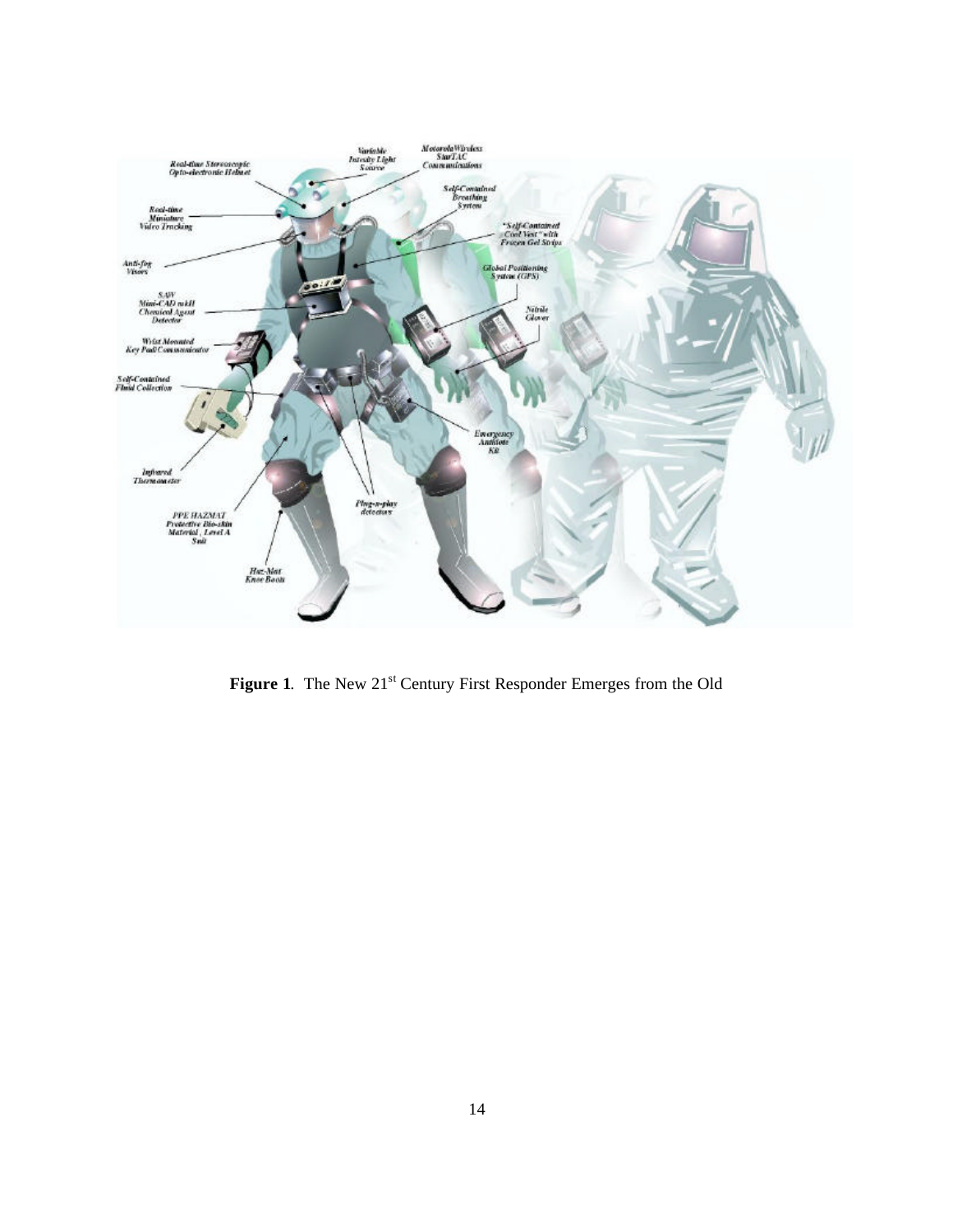

Figure 1. The New 21<sup>st</sup> Century First Responder Emerges from the Old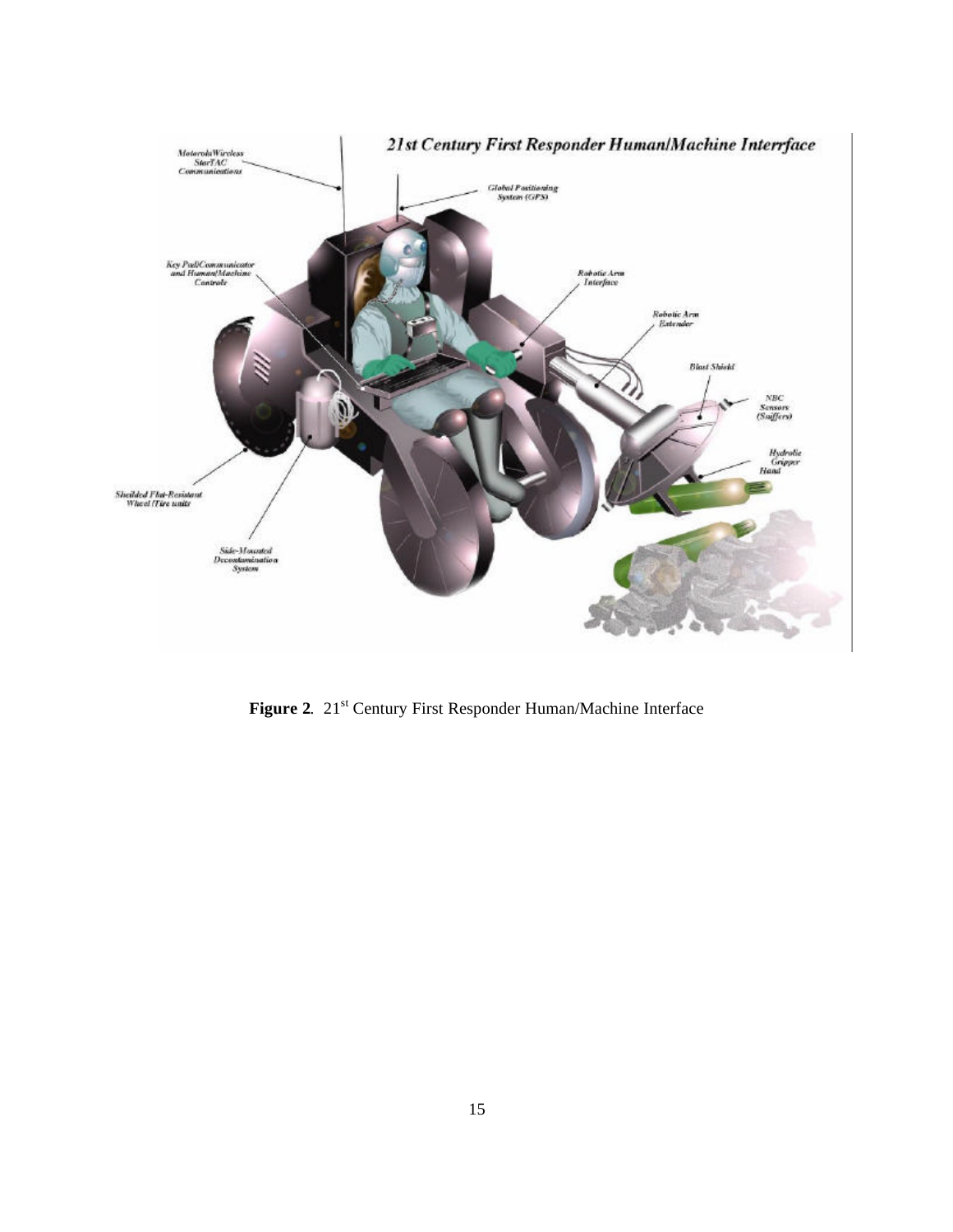

Figure 2. 21<sup>st</sup> Century First Responder Human/Machine Interface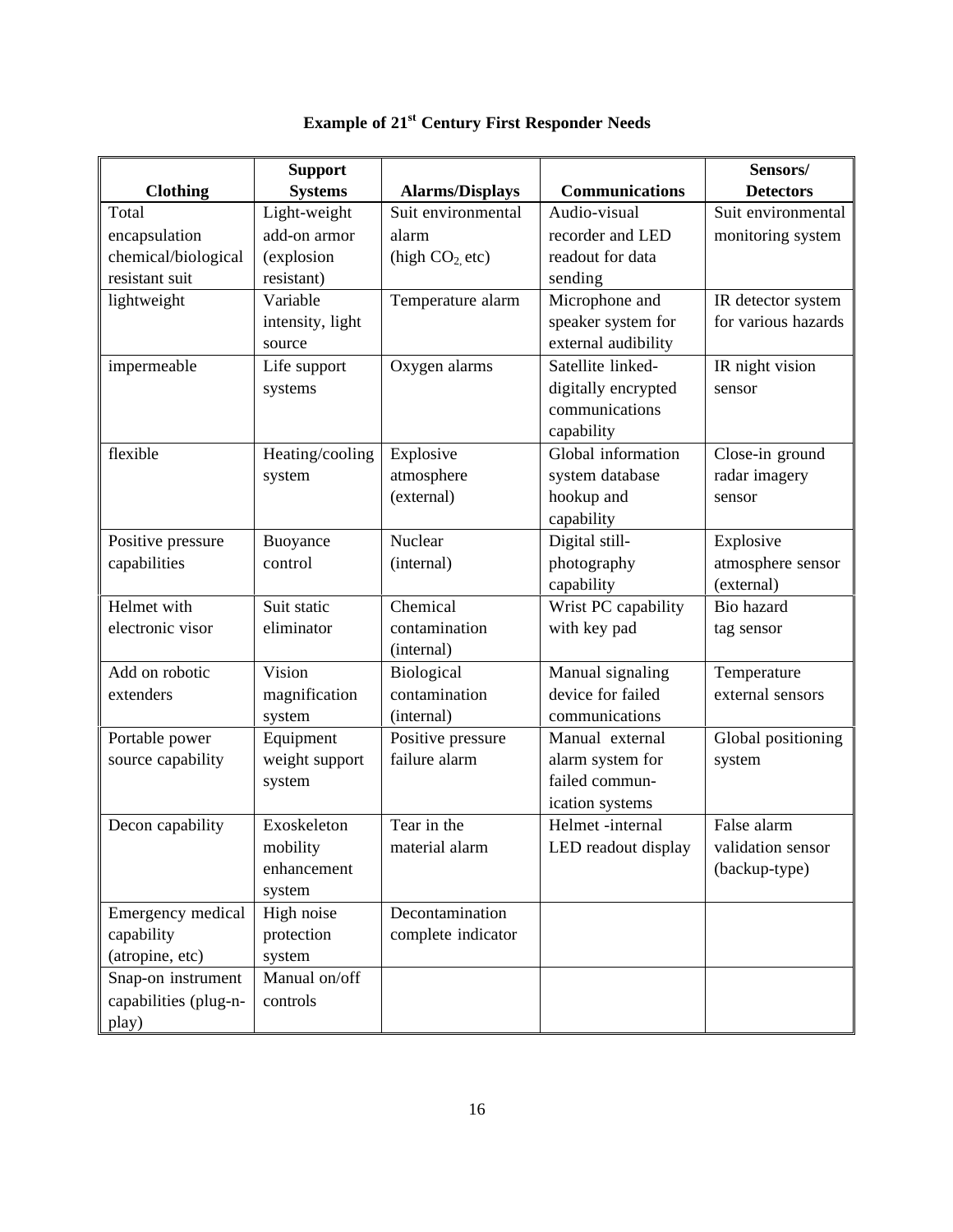|                       | <b>Support</b>   |                        |                       | Sensors/            |
|-----------------------|------------------|------------------------|-----------------------|---------------------|
| <b>Clothing</b>       | <b>Systems</b>   | <b>Alarms/Displays</b> | <b>Communications</b> | <b>Detectors</b>    |
| Total                 | Light-weight     | Suit environmental     | Audio-visual          | Suit environmental  |
| encapsulation         | add-on armor     | alarm                  | recorder and LED      | monitoring system   |
| chemical/biological   | (explosion       | (high $CO2$ etc)       | readout for data      |                     |
| resistant suit        | resistant)       |                        | sending               |                     |
| lightweight           | Variable         | Temperature alarm      | Microphone and        | IR detector system  |
|                       | intensity, light |                        | speaker system for    | for various hazards |
|                       | source           |                        | external audibility   |                     |
| impermeable           | Life support     | Oxygen alarms          | Satellite linked-     | IR night vision     |
|                       | systems          |                        | digitally encrypted   | sensor              |
|                       |                  |                        | communications        |                     |
|                       |                  |                        | capability            |                     |
| flexible              | Heating/cooling  | Explosive              | Global information    | Close-in ground     |
|                       | system           | atmosphere             | system database       | radar imagery       |
|                       |                  | (external)             | hookup and            | sensor              |
|                       |                  |                        | capability            |                     |
| Positive pressure     | Buoyance         | Nuclear                | Digital still-        | Explosive           |
| capabilities          | control          | (internal)             | photography           | atmosphere sensor   |
|                       |                  |                        | capability            | (external)          |
| Helmet with           | Suit static      | Chemical               | Wrist PC capability   | <b>Bio</b> hazard   |
| electronic visor      | eliminator       | contamination          | with key pad          | tag sensor          |
|                       |                  | (internal)             |                       |                     |
| Add on robotic        | Vision           | Biological             | Manual signaling      | Temperature         |
| extenders             | magnification    | contamination          | device for failed     | external sensors    |
|                       | system           | (internal)             | communications        |                     |
| Portable power        | Equipment        | Positive pressure      | Manual external       | Global positioning  |
| source capability     | weight support   | failure alarm          | alarm system for      | system              |
|                       | system           |                        | failed commun-        |                     |
|                       |                  |                        | ication systems       |                     |
| Decon capability      | Exoskeleton      | Tear in the            | Helmet -internal      | False alarm         |
|                       | mobility         | material alarm         | LED readout display   | validation sensor   |
|                       | enhancement      |                        |                       | (backup-type)       |
|                       | system           |                        |                       |                     |
| Emergency medical     | High noise       | Decontamination        |                       |                     |
| capability            | protection       | complete indicator     |                       |                     |
| (atropine, etc)       | system           |                        |                       |                     |
| Snap-on instrument    | Manual on/off    |                        |                       |                     |
| capabilities (plug-n- | controls         |                        |                       |                     |
| play)                 |                  |                        |                       |                     |

# **Example of 21st Century First Responder Needs**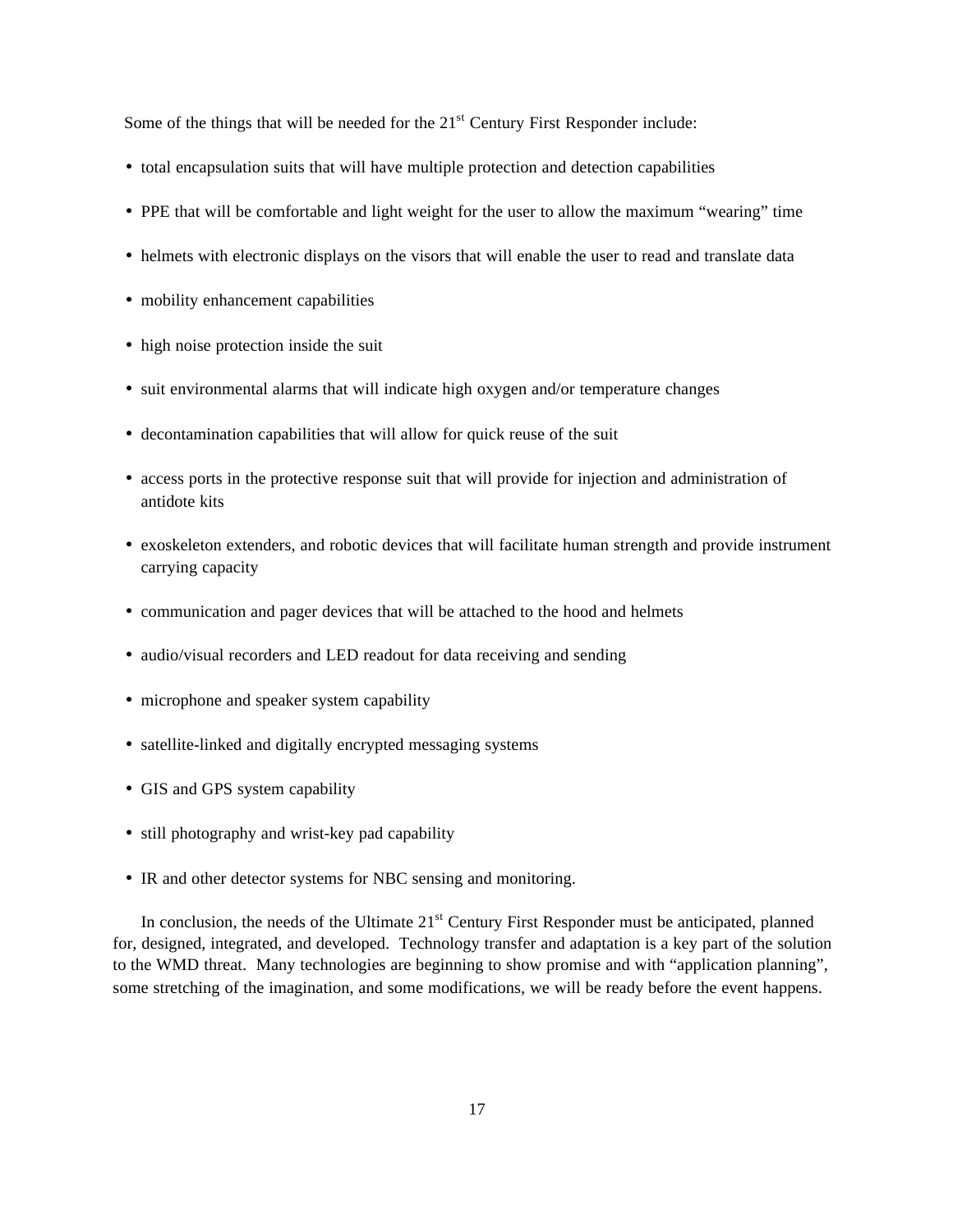Some of the things that will be needed for the  $21<sup>st</sup>$  Century First Responder include:

- total encapsulation suits that will have multiple protection and detection capabilities
- PPE that will be comfortable and light weight for the user to allow the maximum "wearing" time
- helmets with electronic displays on the visors that will enable the user to read and translate data
- mobility enhancement capabilities
- high noise protection inside the suit
- suit environmental alarms that will indicate high oxygen and/or temperature changes
- decontamination capabilities that will allow for quick reuse of the suit
- access ports in the protective response suit that will provide for injection and administration of antidote kits
- exoskeleton extenders, and robotic devices that will facilitate human strength and provide instrument carrying capacity
- communication and pager devices that will be attached to the hood and helmets
- audio/visual recorders and LED readout for data receiving and sending
- microphone and speaker system capability
- satellite-linked and digitally encrypted messaging systems
- GIS and GPS system capability
- still photography and wrist-key pad capability
- IR and other detector systems for NBC sensing and monitoring.

In conclusion, the needs of the Ultimate 21<sup>st</sup> Century First Responder must be anticipated, planned for, designed, integrated, and developed. Technology transfer and adaptation is a key part of the solution to the WMD threat. Many technologies are beginning to show promise and with "application planning", some stretching of the imagination, and some modifications, we will be ready before the event happens.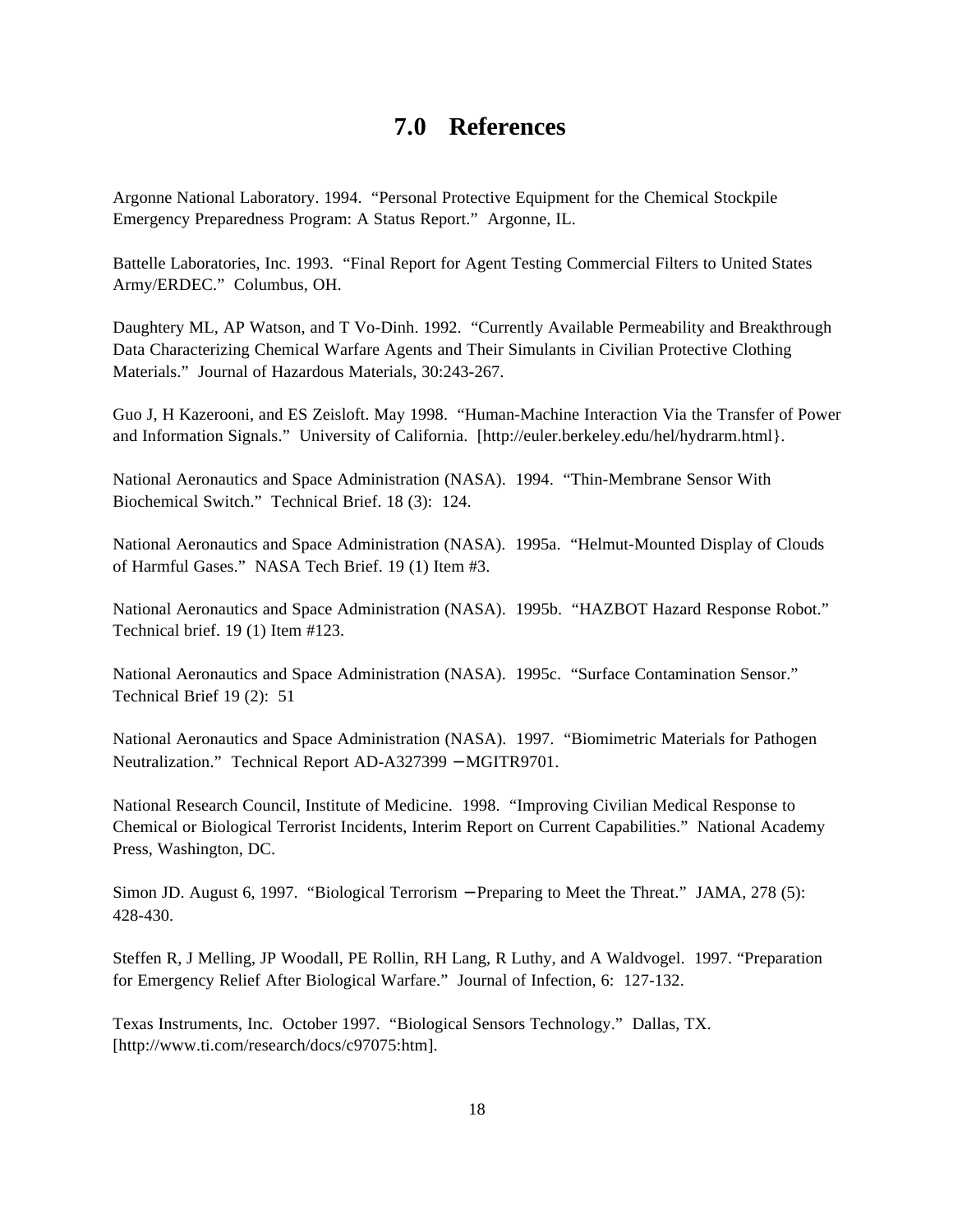## **7.0 References**

Argonne National Laboratory. 1994. "Personal Protective Equipment for the Chemical Stockpile Emergency Preparedness Program: A Status Report." Argonne, IL.

Battelle Laboratories, Inc. 1993. "Final Report for Agent Testing Commercial Filters to United States Army/ERDEC." Columbus, OH.

Daughtery ML, AP Watson, and T Vo-Dinh. 1992. "Currently Available Permeability and Breakthrough Data Characterizing Chemical Warfare Agents and Their Simulants in Civilian Protective Clothing Materials." Journal of Hazardous Materials, 30:243-267.

Guo J, H Kazerooni, and ES Zeisloft. May 1998. "Human-Machine Interaction Via the Transfer of Power and Information Signals." University of California. [http://euler.berkeley.edu/hel/hydrarm.html}.

National Aeronautics and Space Administration (NASA). 1994. "Thin-Membrane Sensor With Biochemical Switch." Technical Brief. 18 (3): 124.

National Aeronautics and Space Administration (NASA). 1995a. "Helmut-Mounted Display of Clouds of Harmful Gases." NASA Tech Brief. 19 (1) Item #3.

National Aeronautics and Space Administration (NASA). 1995b. "HAZBOT Hazard Response Robot." Technical brief. 19 (1) Item #123.

National Aeronautics and Space Administration (NASA). 1995c. "Surface Contamination Sensor." Technical Brief 19 (2): 51

National Aeronautics and Space Administration (NASA). 1997. "Biomimetric Materials for Pathogen Neutralization." Technical Report AD-A327399 − MGITR9701.

National Research Council, Institute of Medicine. 1998. "Improving Civilian Medical Response to Chemical or Biological Terrorist Incidents, Interim Report on Current Capabilities." National Academy Press, Washington, DC.

Simon JD. August 6, 1997. "Biological Terrorism − Preparing to Meet the Threat." JAMA, 278 (5): 428-430.

Steffen R, J Melling, JP Woodall, PE Rollin, RH Lang, R Luthy, and A Waldvogel. 1997. "Preparation for Emergency Relief After Biological Warfare." Journal of Infection, 6: 127-132.

Texas Instruments, Inc. October 1997. "Biological Sensors Technology." Dallas, TX. [http://www.ti.com/research/docs/c97075:htm].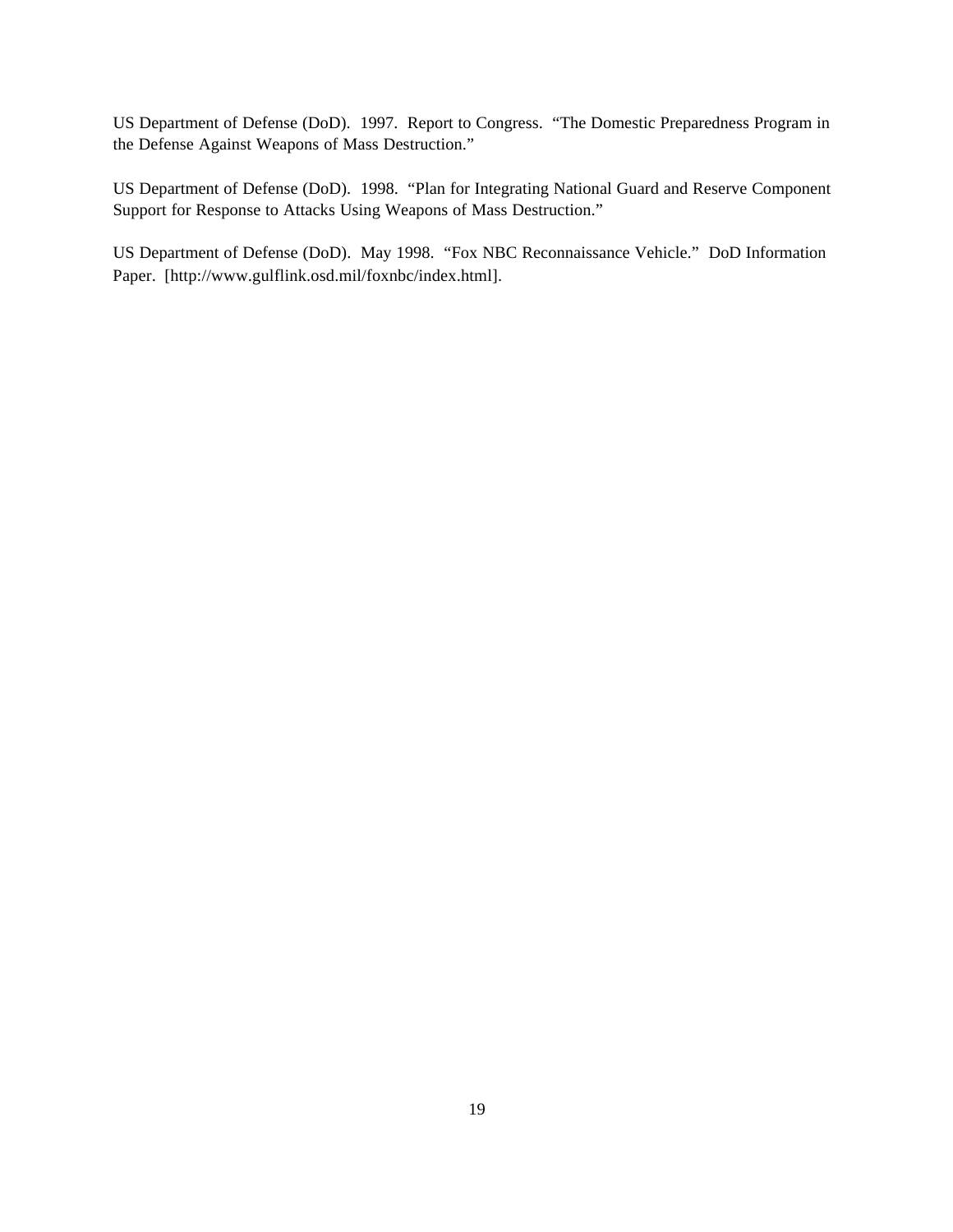US Department of Defense (DoD). 1997. Report to Congress. "The Domestic Preparedness Program in the Defense Against Weapons of Mass Destruction."

US Department of Defense (DoD). 1998. "Plan for Integrating National Guard and Reserve Component Support for Response to Attacks Using Weapons of Mass Destruction."

US Department of Defense (DoD). May 1998. "Fox NBC Reconnaissance Vehicle." DoD Information Paper. [http://www.gulflink.osd.mil/foxnbc/index.html].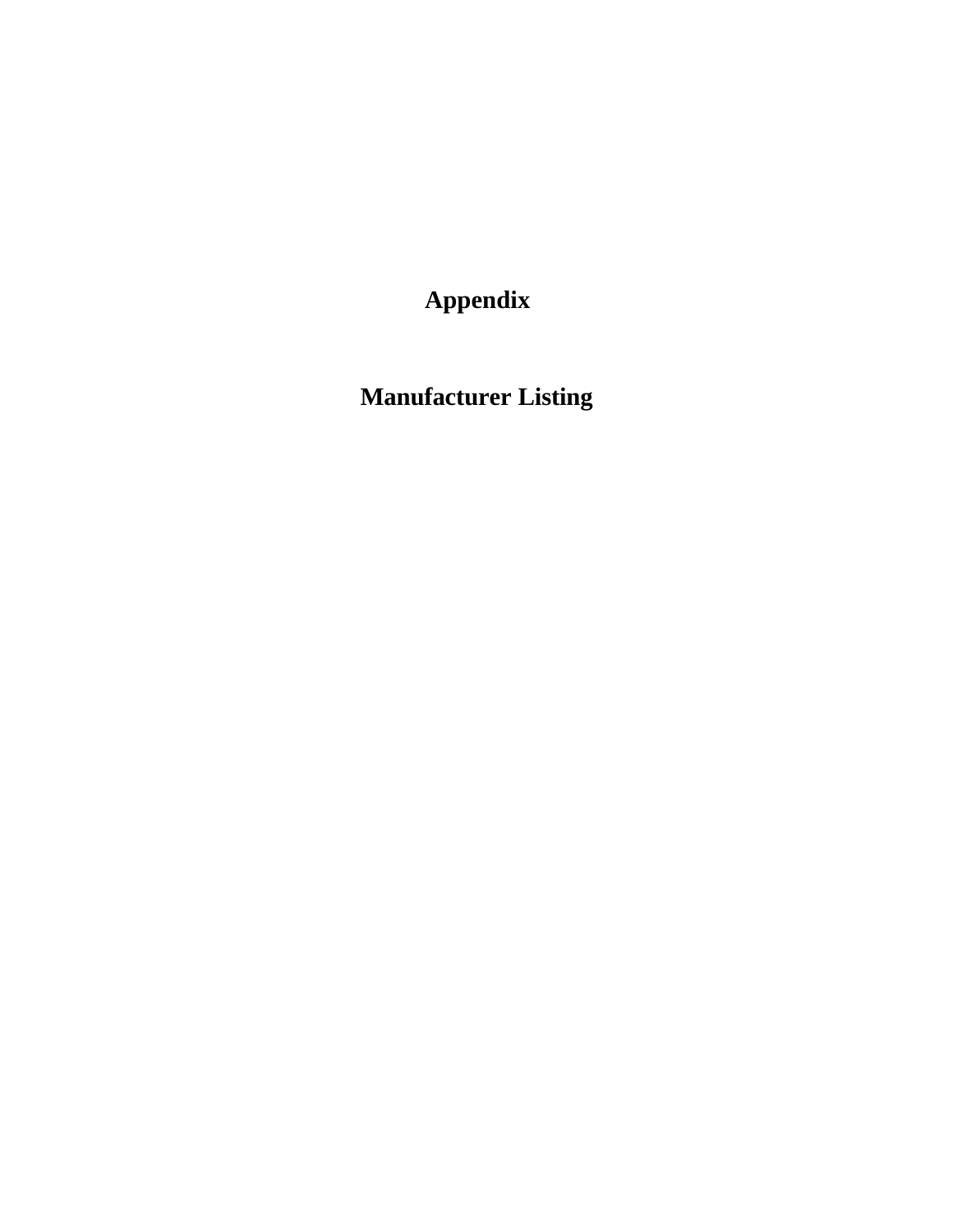**Appendix**

**Manufacturer Listing**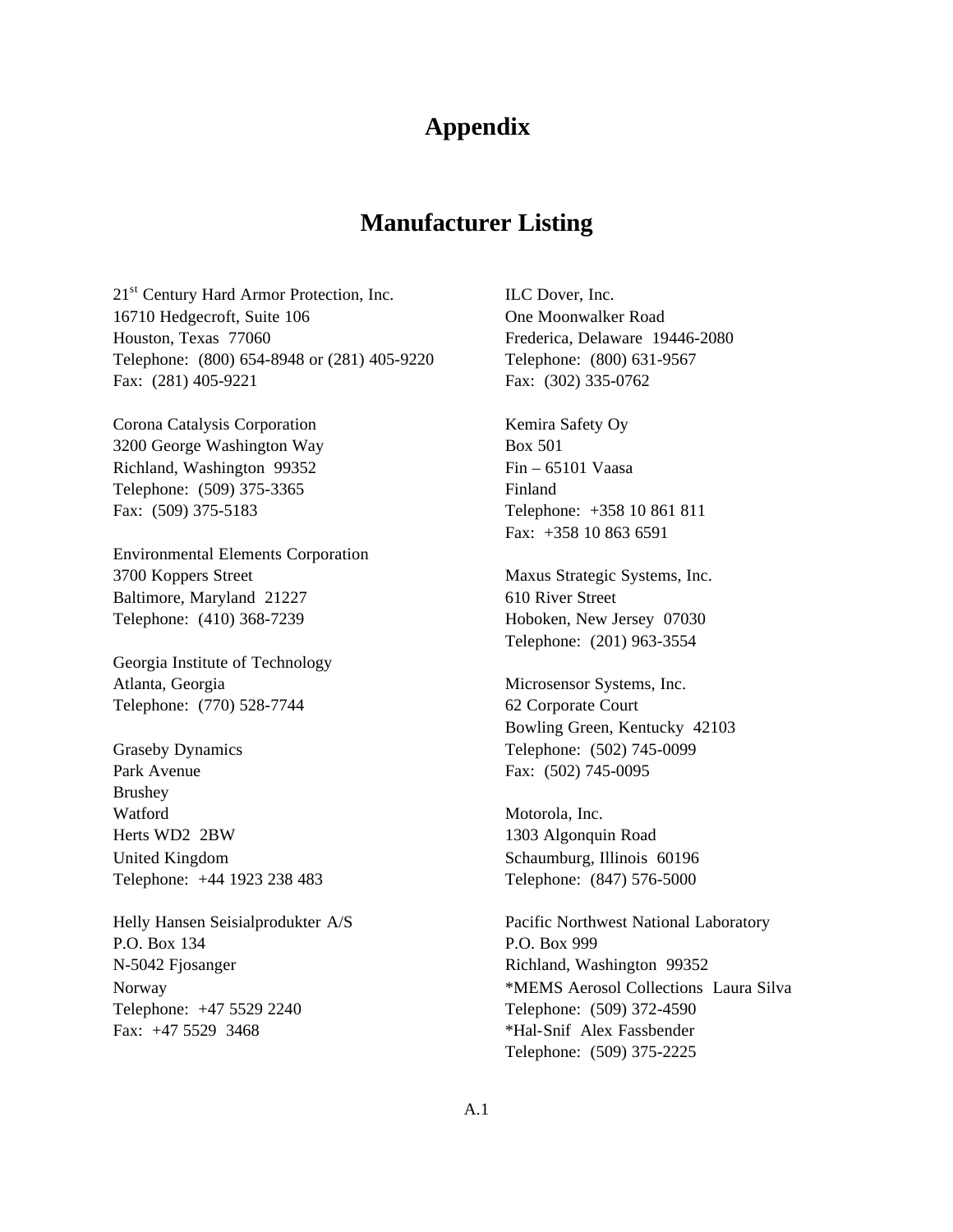## **Appendix**

### **Manufacturer Listing**

21<sup>st</sup> Century Hard Armor Protection, Inc. 16710 Hedgecroft, Suite 106 Houston, Texas 77060 Telephone: (800) 654-8948 or (281) 405-9220 Fax: (281) 405-9221

Corona Catalysis Corporation 3200 George Washington Way Richland, Washington 99352 Telephone: (509) 375-3365 Fax: (509) 375-5183

Environmental Elements Corporation 3700 Koppers Street Baltimore, Maryland 21227 Telephone: (410) 368-7239

Georgia Institute of Technology Atlanta, Georgia Telephone: (770) 528-7744

Graseby Dynamics Park Avenue Brushey Watford Herts WD2 2BW United Kingdom Telephone: +44 1923 238 483

Helly Hansen Seisialprodukter A/S P.O. Box 134 N-5042 Fjosanger Norway Telephone: +47 5529 2240 Fax: +47 5529 3468

ILC Dover, Inc. One Moonwalker Road Frederica, Delaware 19446-2080 Telephone: (800) 631-9567 Fax: (302) 335-0762

Kemira Safety Oy Box 501 Fin – 65101 Vaasa Finland Telephone: +358 10 861 811 Fax: +358 10 863 6591

Maxus Strategic Systems, Inc. 610 River Street Hoboken, New Jersey 07030 Telephone: (201) 963-3554

Microsensor Systems, Inc. 62 Corporate Court Bowling Green, Kentucky 42103 Telephone: (502) 745-0099 Fax: (502) 745-0095

Motorola, Inc. 1303 Algonquin Road Schaumburg, Illinois 60196 Telephone: (847) 576-5000

Pacific Northwest National Laboratory P.O. Box 999 Richland, Washington 99352 \*MEMS Aerosol Collections Laura Silva Telephone: (509) 372-4590 \*Hal-Snif Alex Fassbender Telephone: (509) 375-2225